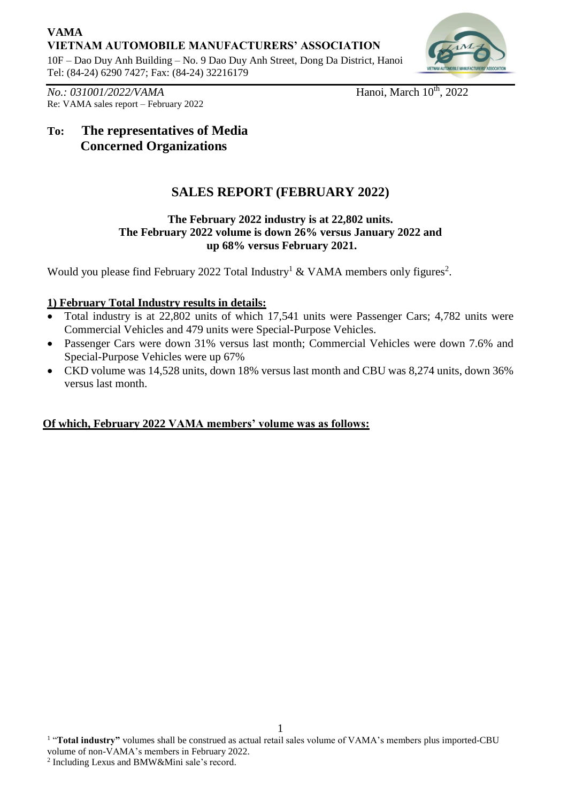# **VAMA VIETNAM AUTOMOBILE MANUFACTURERS' ASSOCIATION**

10F – Dao Duy Anh Building – No. 9 Dao Duy Anh Street, Dong Da District, Hanoi Tel: (84-24) 6290 7427; Fax: (84-24) 32216179



*No.: 031001/2022/VAMA* Hanoi, March 10<sup>th</sup>, 2022 Re: VAMA sales report – February 2022

# **To: The representatives of Media Concerned Organizations**

# **SALES REPORT (FEBRUARY 2022)**

### **The February 2022 industry is at 22,802 units. The February 2022 volume is down 26% versus January 2022 and up 68% versus February 2021.**

Would you please find February 2022 Total Industry<sup>1</sup> & VAMA members only figures<sup>2</sup>.

## **1) February Total Industry results in details:**

- Total industry is at 22,802 units of which 17,541 units were Passenger Cars; 4,782 units were Commercial Vehicles and 479 units were Special-Purpose Vehicles.
- Passenger Cars were down 31% versus last month; Commercial Vehicles were down 7.6% and Special-Purpose Vehicles were up 67%
- CKD volume was 14,528 units, down 18% versus last month and CBU was 8,274 units, down 36% versus last month.

## **Of which, February 2022 VAMA members' volume was as follows:**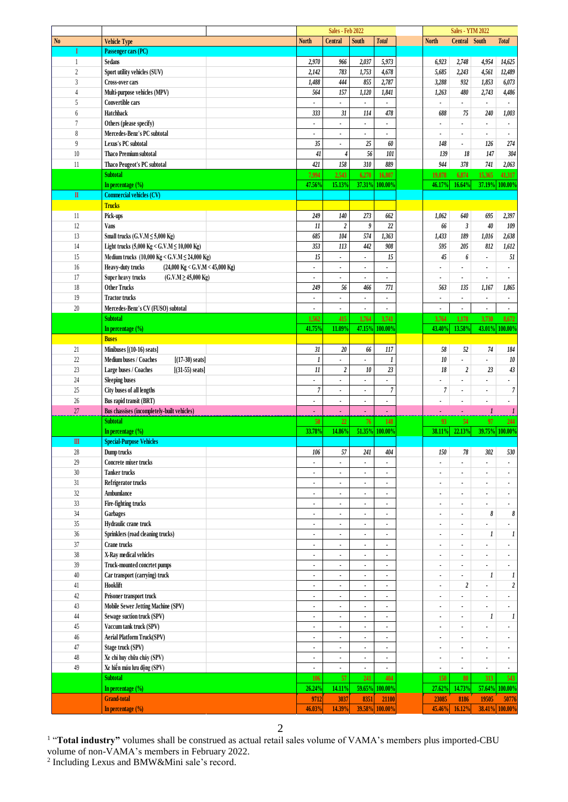| <b>Total</b><br><b>North</b><br><b>North</b><br><b>Central</b><br>South<br>Central South<br><b>Total</b><br><b>Vehicle Type</b><br>Passenger cars (PC)<br>I<br>2,970<br>966<br>2,037<br>5,973<br>2,748<br>4,954<br>Sedans<br>6,923<br>14,625<br>1<br>$\overline{2}$<br>2,142<br>783<br>1,753<br>4,678<br>2,243<br>Sport utility vehicles (SUV)<br>5,685<br>4,561<br>12,489<br>$\overline{3}$<br>1,488<br>444<br>855<br>2,787<br>3,288<br>932<br>1,853<br>6,073<br><b>Cross-over cars</b><br>564<br>157<br>1,120<br>1,841<br>$\overline{4}$<br>Multi-purpose vehicles (MPV)<br>1,263<br>480<br>2,743<br>4,486<br>5<br>Convertible cars<br>ä,<br>ä,<br>$\blacksquare$<br>$\overline{\phantom{a}}$<br>$\blacksquare$<br>×<br>٠<br>Hatchback<br>333<br>$3\mathit{l}$<br>114<br>478<br>6<br>688<br>240<br>1,003<br>75<br>$\overline{7}$<br>Others (please specify)<br>ä,<br>$\blacksquare$<br>÷<br>$\bullet$<br>$\bullet$<br>$\blacksquare$<br>$\blacksquare$<br>$\bullet$<br>8<br>Mercedes-Benz's PC subtotal<br>$\blacksquare$<br>$\overline{\phantom{a}}$<br>$\overline{\phantom{a}}$<br>9<br>35<br>$25\,$<br>60<br>Lexus's PC subtotal<br>148<br>126<br>274<br>$\mathbf{r}$<br>$\blacksquare$<br>41<br>56<br>101<br>10<br><b>Thaco Premium subtotal</b><br>139<br>18<br>147<br>304<br>4<br>310<br>421<br>158<br>889<br>944<br>$378\,$<br>11<br>741<br>2,063<br>Thaco Peugeot's PC subtotal<br><b>Subtotal</b><br>7,994<br>2,543<br>6,270<br>16,807<br>6,874<br>15,365<br>41,317<br>19,078<br>47.56%<br>15.13%<br>37.19%<br>37.31%<br>100.00%<br>46.17%<br>16.64%<br>100.00%<br>In percentage $(\% )$<br><b>Commercial vehicles (CV)</b><br>$\mathbb{I}$<br><b>Trucks</b><br>249<br>$140$<br>$273\,$<br>662<br>Pick-ups<br>1,062<br>640<br>695<br>2,397<br>11<br>22<br>11<br>$\boldsymbol{2}$<br>9<br>66<br>$\mathfrak{z}$<br>40<br>12<br><b>Vans</b><br>109<br>13<br>685<br>104<br>574<br>1,363<br>189<br>Small trucks $(G.V.M \le 5,000$ Kg)<br>1,433<br>1,016<br>2,638<br>14<br>353<br>113<br>442<br>Light trucks (5,000 Kg < G.V.M ≤ 10,000 Kg)<br>908<br>595<br>205<br>812<br>1,612<br>15<br>15<br>15<br>45<br>Medium trucks (10,000 Kg < G.V.M $\leq$ 24,000 Kg)<br>51<br>6<br>$\blacksquare$<br>$\blacksquare$<br>٠<br>16<br>Heavy-duty trucks<br>$(24,000 \text{ Kg} < G.V.M < 45,000 \text{ Kg})$<br>٠<br>17<br>Super heavy trucks<br>$(C.V.M \ge 45,000 Kg)$<br>٠<br>÷.<br>$\blacksquare$<br>$\bullet$<br>$\bullet$<br>٠<br>$\bullet$<br>18<br>249<br>771<br><b>Other Trucks</b><br>56<br>466<br>563<br>135<br>1,167<br>1,865<br>19<br><b>Tractor trucks</b><br>$\blacksquare$<br>٠<br>$\blacksquare$<br>×<br>$\bullet$<br>٠<br>$\bullet$<br>20<br>Mercedes-Benz's CV (FUSO) subtotal<br>÷,<br>$\blacksquare$<br>ä,<br>$\overline{a}$<br>$\overline{\phantom{a}}$<br>٠<br>$\blacksquare$<br>$\blacksquare$<br><b>Subtotal</b><br>1,562<br>415<br>1,764<br>3,741<br>3,764<br>1,178<br>3,730<br>8,672<br>41.75%<br>11.09%<br>47.15%<br>100.00%<br>43.40%<br>13.58%<br>43.01%<br>100.00 <sup>o</sup><br>In percentage $(\% )$<br><b>Buses</b><br>31<br>$20\,$<br>66<br>21<br>Minibuses [(10-16) seats]<br>117<br>58<br>52<br>74<br>184<br>22<br>${\it 10}$<br>Medium buses / Coaches<br>$[(17-30) \text{ seats}]$<br>1<br>$\boldsymbol{l}$<br>10<br>ä,<br>٠<br>٠<br>23<br>11<br>$\sqrt{2}$<br>10<br>$23\,$<br>$18\,$<br>$\boldsymbol{2}$<br>Large buses / Coaches<br>23<br>43<br>$[(31-55) \text{ seats}]$<br>24<br><b>Sleeping buses</b><br>٠<br>٠<br>$\bullet$<br>÷<br>٠<br>$\overline{7}$<br>$\boldsymbol{7}$<br>25<br>$\boldsymbol{7}$<br>City buses of all lengths<br>$\overline{7}$<br>$\blacksquare$<br>$\blacksquare$<br>$\bullet$<br>26<br>Bus rapid transit (BRT)<br>$\blacksquare$<br>$\overline{\phantom{a}}$<br>$\blacksquare$<br>ä,<br>$\blacksquare$<br>$\bullet$<br>$\blacksquare$<br>27<br>Bus chassises (incompletely-built vehicles)<br>$\boldsymbol{l}$<br>ä,<br>ä<br>$\bullet$<br>٠<br><b>Subtotal</b><br>50<br>22<br>76<br>97<br>148<br>93<br>54<br>244<br>22.13%<br>33.78%<br>14.86%<br>51.35%<br>100.00%<br>In percentage (%)<br>38.11%<br>39.75%<br>100.00 <sup>o</sup><br>$\mathbf{m}$<br><b>Special-Purpose Vehicles</b><br>28<br>106<br>57<br>241<br>404<br>150<br>78<br>302<br>530<br>Dump trucks<br>29<br>Concrete mixer trucks<br>$\bullet$<br>$\blacksquare$<br>$\blacksquare$<br>$\blacksquare$<br>$\blacksquare$<br>$\blacksquare$<br>$\blacksquare$<br>$\blacksquare$<br>30<br><b>Tanker trucks</b><br>ä,<br>$\overline{\phantom{a}}$<br>$\blacksquare$<br>$\overline{\phantom{a}}$<br>$\blacksquare$<br>$\overline{\phantom{a}}$<br>$\blacksquare$<br>$\blacksquare$<br>$31\,$<br>Refrigerator trucks<br>$\ddot{\phantom{a}}$<br>$\blacksquare$<br>$\overline{\phantom{a}}$<br>$\bullet$<br>$\blacksquare$<br>٠<br>٠<br>$32\,$<br>Ambumlance<br>$\ddot{\phantom{a}}$<br>$\overline{\phantom{a}}$<br>٠<br>$\blacksquare$<br>33<br>Fire-fighting trucks<br>÷.<br>$\overline{\phantom{a}}$<br>$\blacksquare$<br>$\bullet$<br>٠<br>٠<br>$\blacksquare$<br>٠<br>$34\,$<br>Garbages<br>8<br>8<br>$\bullet$<br>$\blacksquare$<br>$\blacksquare$<br>$\blacksquare$<br>٠<br>٠<br>$35\,$<br>Hydraulic crane truck<br>÷<br>$\overline{\phantom{a}}$<br>÷<br>$\blacksquare$<br>$\blacksquare$<br>$36\,$<br>Sprinklers (road cleaning trucks)<br>$\boldsymbol{l}$<br>1<br>$\ddot{\phantom{a}}$<br>$\blacksquare$<br>$\blacksquare$<br>$\blacksquare$<br>$\blacksquare$<br>٠<br>$37\,$<br>Crane trucks<br>÷,<br>ä,<br>٠<br>٠<br>$38\,$<br>X-Ray medical vehicles<br>×,<br>$\bullet$<br>$\bullet$<br>٠<br>$\blacksquare$<br>٠<br>٠<br>$\bullet$<br>$39\,$<br>Truck-mounted concrtet pumps<br>$\bullet$<br>$\blacksquare$<br>$\bullet$<br>$\blacksquare$<br>$\blacksquare$<br>٠<br>$\bullet$<br>$40\,$<br>Car transport (carrying) truck<br>$\boldsymbol{l}$<br>1<br>ä,<br>$\ddot{\phantom{a}}$<br>$\blacksquare$<br>٠<br>$\overline{\phantom{a}}$<br>÷<br>Hooklift<br>$\boldsymbol{2}$<br>41<br>$\boldsymbol{2}$<br>٠<br>$\blacksquare$<br>٠<br>$\blacksquare$<br>٠<br>$42\,$<br>Prisoner transport truck<br>÷,<br>ä,<br>$\blacksquare$<br>ä,<br>ä,<br>$43\,$<br>Mobile Sewer Jetting Machine (SPV)<br>×,<br>÷<br>$\bullet$<br>٠<br>٠<br>$\blacksquare$<br>$\blacksquare$<br>$\bullet$<br>Sewage suction truck (SPV)<br>$44$<br>1<br>1<br>٠<br>$\bullet$<br>$\bullet$<br>٠<br>$\blacksquare$<br>٠<br>$45\,$<br>Vaccum tank truck (SPV)<br>$\cdot$<br>$\blacksquare$<br>$\blacksquare$<br>÷<br>ä,<br>$\blacksquare$<br>$\blacksquare$<br>$\bullet$<br>$46\,$<br>Aerial Platform Truck(SPV)<br>$\blacksquare$<br>$\blacksquare$<br>$\bullet$<br>٠<br>٠<br>$\blacksquare$<br>٠<br>$47\,$<br>Stage truck (SPV)<br>÷,<br>$\blacksquare$<br>ä,<br>ä,<br>ä,<br>ä,<br>$\blacksquare$<br>$48\,$<br>Xe chỉ huy chữa cháy (SPV)<br>$\bullet$<br>÷.<br>$\blacksquare$<br>$\bullet$<br>٠<br>$\blacksquare$<br>٠<br>$\bullet$<br>49<br>Xe hiến máu lưu động (SPV)<br>$\bullet$<br>$\blacksquare$<br>٠<br>$\blacksquare$<br>٠<br>$\blacksquare$<br>$\blacksquare$<br><b>Subtotal</b><br>57<br>241<br>404<br>150<br>106<br>80<br>313<br>543<br>100.00%<br>In percentage (%)<br>26.24%<br>14.11%<br>59.65%<br>27.62%<br>14.73%<br>57.64%<br>100.00%<br><b>Grand-total</b><br>3037<br>9712<br>8351<br>23085<br>19505<br>21100<br>8186<br>50776<br>14.39%<br>39.58%<br>100.00%<br>45.46%<br>16.12%<br>38.41% 100.00%<br>In percentage (%)<br>46.03% |                |  | <b>Sales - Feb 2022</b> |  |  | <b>Sales - YTM 2022</b> |  |
|------------------------------------------------------------------------------------------------------------------------------------------------------------------------------------------------------------------------------------------------------------------------------------------------------------------------------------------------------------------------------------------------------------------------------------------------------------------------------------------------------------------------------------------------------------------------------------------------------------------------------------------------------------------------------------------------------------------------------------------------------------------------------------------------------------------------------------------------------------------------------------------------------------------------------------------------------------------------------------------------------------------------------------------------------------------------------------------------------------------------------------------------------------------------------------------------------------------------------------------------------------------------------------------------------------------------------------------------------------------------------------------------------------------------------------------------------------------------------------------------------------------------------------------------------------------------------------------------------------------------------------------------------------------------------------------------------------------------------------------------------------------------------------------------------------------------------------------------------------------------------------------------------------------------------------------------------------------------------------------------------------------------------------------------------------------------------------------------------------------------------------------------------------------------------------------------------------------------------------------------------------------------------------------------------------------------------------------------------------------------------------------------------------------------------------------------------------------------------------------------------------------------------------------------------------------------------------------------------------------------------------------------------------------------------------------------------------------------------------------------------------------------------------------------------------------------------------------------------------------------------------------------------------------------------------------------------------------------------------------------------------------------------------------------------------------------------------------------------------------------------------------------------------------------------------------------------------------------------------------------------------------------------------------------------------------------------------------------------------------------------------------------------------------------------------------------------------------------------------------------------------------------------------------------------------------------------------------------------------------------------------------------------------------------------------------------------------------------------------------------------------------------------------------------------------------------------------------------------------------------------------------------------------------------------------------------------------------------------------------------------------------------------------------------------------------------------------------------------------------------------------------------------------------------------------------------------------------------------------------------------------------------------------------------------------------------------------------------------------------------------------------------------------------------------------------------------------------------------------------------------------------------------------------------------------------------------------------------------------------------------------------------------------------------------------------------------------------------------------------------------------------------------------------------------------------------------------------------------------------------------------------------------------------------------------------------------------------------------------------------------------------------------------------------------------------------------------------------------------------------------------------------------------------------------------------------------------------------------------------------------------------------------------------------------------------------------------------------------------------------------------------------------------------------------------------------------------------------------------------------------------------------------------------------------------------------------------------------------------------------------------------------------------------------------------------------------------------------------------------------------------------------------------------------------------------------------------------------------------------------------------------------------------------------------------------------------------------------------------------------------------------------------------------------------------------------------------------------------------------------------------------------------------------------------------------------------------------------------------------------------------------------------------------------------------------------------------------------------------------------------------------------------------------------------------------------------------------------------------------------------------------------------------------------------------------------------------------------------------------------------------------------------------------------------------------------------------------------------------------------------------------------------------------------------------------------------------------------------------------------------------------------------------------------------------------------------------------------------------------------------------------------------------------------------------------------------------------------------------------------------------------------------------------------------------------------------------------------------------------------------------------------------------------------------------------------------------------------------------|----------------|--|-------------------------|--|--|-------------------------|--|
|                                                                                                                                                                                                                                                                                                                                                                                                                                                                                                                                                                                                                                                                                                                                                                                                                                                                                                                                                                                                                                                                                                                                                                                                                                                                                                                                                                                                                                                                                                                                                                                                                                                                                                                                                                                                                                                                                                                                                                                                                                                                                                                                                                                                                                                                                                                                                                                                                                                                                                                                                                                                                                                                                                                                                                                                                                                                                                                                                                                                                                                                                                                                                                                                                                                                                                                                                                                                                                                                                                                                                                                                                                                                                                                                                                                                                                                                                                                                                                                                                                                                                                                                                                                                                                                                                                                                                                                                                                                                                                                                                                                                                                                                                                                                                                                                                                                                                                                                                                                                                                                                                                                                                                                                                                                                                                                                                                                                                                                                                                                                                                                                                                                                                                                                                                                                                                                                                                                                                                                                                                                                                                                                                                                                                                                                                                                                                                                                                                                                                                                                                                                                                                                                                                                                                                                                                                                                                                                                                                                                                                                                                                                                                                                                                                                                                                                                                            | N <sub>0</sub> |  |                         |  |  |                         |  |
|                                                                                                                                                                                                                                                                                                                                                                                                                                                                                                                                                                                                                                                                                                                                                                                                                                                                                                                                                                                                                                                                                                                                                                                                                                                                                                                                                                                                                                                                                                                                                                                                                                                                                                                                                                                                                                                                                                                                                                                                                                                                                                                                                                                                                                                                                                                                                                                                                                                                                                                                                                                                                                                                                                                                                                                                                                                                                                                                                                                                                                                                                                                                                                                                                                                                                                                                                                                                                                                                                                                                                                                                                                                                                                                                                                                                                                                                                                                                                                                                                                                                                                                                                                                                                                                                                                                                                                                                                                                                                                                                                                                                                                                                                                                                                                                                                                                                                                                                                                                                                                                                                                                                                                                                                                                                                                                                                                                                                                                                                                                                                                                                                                                                                                                                                                                                                                                                                                                                                                                                                                                                                                                                                                                                                                                                                                                                                                                                                                                                                                                                                                                                                                                                                                                                                                                                                                                                                                                                                                                                                                                                                                                                                                                                                                                                                                                                                            |                |  |                         |  |  |                         |  |
|                                                                                                                                                                                                                                                                                                                                                                                                                                                                                                                                                                                                                                                                                                                                                                                                                                                                                                                                                                                                                                                                                                                                                                                                                                                                                                                                                                                                                                                                                                                                                                                                                                                                                                                                                                                                                                                                                                                                                                                                                                                                                                                                                                                                                                                                                                                                                                                                                                                                                                                                                                                                                                                                                                                                                                                                                                                                                                                                                                                                                                                                                                                                                                                                                                                                                                                                                                                                                                                                                                                                                                                                                                                                                                                                                                                                                                                                                                                                                                                                                                                                                                                                                                                                                                                                                                                                                                                                                                                                                                                                                                                                                                                                                                                                                                                                                                                                                                                                                                                                                                                                                                                                                                                                                                                                                                                                                                                                                                                                                                                                                                                                                                                                                                                                                                                                                                                                                                                                                                                                                                                                                                                                                                                                                                                                                                                                                                                                                                                                                                                                                                                                                                                                                                                                                                                                                                                                                                                                                                                                                                                                                                                                                                                                                                                                                                                                                            |                |  |                         |  |  |                         |  |
|                                                                                                                                                                                                                                                                                                                                                                                                                                                                                                                                                                                                                                                                                                                                                                                                                                                                                                                                                                                                                                                                                                                                                                                                                                                                                                                                                                                                                                                                                                                                                                                                                                                                                                                                                                                                                                                                                                                                                                                                                                                                                                                                                                                                                                                                                                                                                                                                                                                                                                                                                                                                                                                                                                                                                                                                                                                                                                                                                                                                                                                                                                                                                                                                                                                                                                                                                                                                                                                                                                                                                                                                                                                                                                                                                                                                                                                                                                                                                                                                                                                                                                                                                                                                                                                                                                                                                                                                                                                                                                                                                                                                                                                                                                                                                                                                                                                                                                                                                                                                                                                                                                                                                                                                                                                                                                                                                                                                                                                                                                                                                                                                                                                                                                                                                                                                                                                                                                                                                                                                                                                                                                                                                                                                                                                                                                                                                                                                                                                                                                                                                                                                                                                                                                                                                                                                                                                                                                                                                                                                                                                                                                                                                                                                                                                                                                                                                            |                |  |                         |  |  |                         |  |
|                                                                                                                                                                                                                                                                                                                                                                                                                                                                                                                                                                                                                                                                                                                                                                                                                                                                                                                                                                                                                                                                                                                                                                                                                                                                                                                                                                                                                                                                                                                                                                                                                                                                                                                                                                                                                                                                                                                                                                                                                                                                                                                                                                                                                                                                                                                                                                                                                                                                                                                                                                                                                                                                                                                                                                                                                                                                                                                                                                                                                                                                                                                                                                                                                                                                                                                                                                                                                                                                                                                                                                                                                                                                                                                                                                                                                                                                                                                                                                                                                                                                                                                                                                                                                                                                                                                                                                                                                                                                                                                                                                                                                                                                                                                                                                                                                                                                                                                                                                                                                                                                                                                                                                                                                                                                                                                                                                                                                                                                                                                                                                                                                                                                                                                                                                                                                                                                                                                                                                                                                                                                                                                                                                                                                                                                                                                                                                                                                                                                                                                                                                                                                                                                                                                                                                                                                                                                                                                                                                                                                                                                                                                                                                                                                                                                                                                                                            |                |  |                         |  |  |                         |  |
|                                                                                                                                                                                                                                                                                                                                                                                                                                                                                                                                                                                                                                                                                                                                                                                                                                                                                                                                                                                                                                                                                                                                                                                                                                                                                                                                                                                                                                                                                                                                                                                                                                                                                                                                                                                                                                                                                                                                                                                                                                                                                                                                                                                                                                                                                                                                                                                                                                                                                                                                                                                                                                                                                                                                                                                                                                                                                                                                                                                                                                                                                                                                                                                                                                                                                                                                                                                                                                                                                                                                                                                                                                                                                                                                                                                                                                                                                                                                                                                                                                                                                                                                                                                                                                                                                                                                                                                                                                                                                                                                                                                                                                                                                                                                                                                                                                                                                                                                                                                                                                                                                                                                                                                                                                                                                                                                                                                                                                                                                                                                                                                                                                                                                                                                                                                                                                                                                                                                                                                                                                                                                                                                                                                                                                                                                                                                                                                                                                                                                                                                                                                                                                                                                                                                                                                                                                                                                                                                                                                                                                                                                                                                                                                                                                                                                                                                                            |                |  |                         |  |  |                         |  |
|                                                                                                                                                                                                                                                                                                                                                                                                                                                                                                                                                                                                                                                                                                                                                                                                                                                                                                                                                                                                                                                                                                                                                                                                                                                                                                                                                                                                                                                                                                                                                                                                                                                                                                                                                                                                                                                                                                                                                                                                                                                                                                                                                                                                                                                                                                                                                                                                                                                                                                                                                                                                                                                                                                                                                                                                                                                                                                                                                                                                                                                                                                                                                                                                                                                                                                                                                                                                                                                                                                                                                                                                                                                                                                                                                                                                                                                                                                                                                                                                                                                                                                                                                                                                                                                                                                                                                                                                                                                                                                                                                                                                                                                                                                                                                                                                                                                                                                                                                                                                                                                                                                                                                                                                                                                                                                                                                                                                                                                                                                                                                                                                                                                                                                                                                                                                                                                                                                                                                                                                                                                                                                                                                                                                                                                                                                                                                                                                                                                                                                                                                                                                                                                                                                                                                                                                                                                                                                                                                                                                                                                                                                                                                                                                                                                                                                                                                            |                |  |                         |  |  |                         |  |
|                                                                                                                                                                                                                                                                                                                                                                                                                                                                                                                                                                                                                                                                                                                                                                                                                                                                                                                                                                                                                                                                                                                                                                                                                                                                                                                                                                                                                                                                                                                                                                                                                                                                                                                                                                                                                                                                                                                                                                                                                                                                                                                                                                                                                                                                                                                                                                                                                                                                                                                                                                                                                                                                                                                                                                                                                                                                                                                                                                                                                                                                                                                                                                                                                                                                                                                                                                                                                                                                                                                                                                                                                                                                                                                                                                                                                                                                                                                                                                                                                                                                                                                                                                                                                                                                                                                                                                                                                                                                                                                                                                                                                                                                                                                                                                                                                                                                                                                                                                                                                                                                                                                                                                                                                                                                                                                                                                                                                                                                                                                                                                                                                                                                                                                                                                                                                                                                                                                                                                                                                                                                                                                                                                                                                                                                                                                                                                                                                                                                                                                                                                                                                                                                                                                                                                                                                                                                                                                                                                                                                                                                                                                                                                                                                                                                                                                                                            |                |  |                         |  |  |                         |  |
|                                                                                                                                                                                                                                                                                                                                                                                                                                                                                                                                                                                                                                                                                                                                                                                                                                                                                                                                                                                                                                                                                                                                                                                                                                                                                                                                                                                                                                                                                                                                                                                                                                                                                                                                                                                                                                                                                                                                                                                                                                                                                                                                                                                                                                                                                                                                                                                                                                                                                                                                                                                                                                                                                                                                                                                                                                                                                                                                                                                                                                                                                                                                                                                                                                                                                                                                                                                                                                                                                                                                                                                                                                                                                                                                                                                                                                                                                                                                                                                                                                                                                                                                                                                                                                                                                                                                                                                                                                                                                                                                                                                                                                                                                                                                                                                                                                                                                                                                                                                                                                                                                                                                                                                                                                                                                                                                                                                                                                                                                                                                                                                                                                                                                                                                                                                                                                                                                                                                                                                                                                                                                                                                                                                                                                                                                                                                                                                                                                                                                                                                                                                                                                                                                                                                                                                                                                                                                                                                                                                                                                                                                                                                                                                                                                                                                                                                                            |                |  |                         |  |  |                         |  |
|                                                                                                                                                                                                                                                                                                                                                                                                                                                                                                                                                                                                                                                                                                                                                                                                                                                                                                                                                                                                                                                                                                                                                                                                                                                                                                                                                                                                                                                                                                                                                                                                                                                                                                                                                                                                                                                                                                                                                                                                                                                                                                                                                                                                                                                                                                                                                                                                                                                                                                                                                                                                                                                                                                                                                                                                                                                                                                                                                                                                                                                                                                                                                                                                                                                                                                                                                                                                                                                                                                                                                                                                                                                                                                                                                                                                                                                                                                                                                                                                                                                                                                                                                                                                                                                                                                                                                                                                                                                                                                                                                                                                                                                                                                                                                                                                                                                                                                                                                                                                                                                                                                                                                                                                                                                                                                                                                                                                                                                                                                                                                                                                                                                                                                                                                                                                                                                                                                                                                                                                                                                                                                                                                                                                                                                                                                                                                                                                                                                                                                                                                                                                                                                                                                                                                                                                                                                                                                                                                                                                                                                                                                                                                                                                                                                                                                                                                            |                |  |                         |  |  |                         |  |
|                                                                                                                                                                                                                                                                                                                                                                                                                                                                                                                                                                                                                                                                                                                                                                                                                                                                                                                                                                                                                                                                                                                                                                                                                                                                                                                                                                                                                                                                                                                                                                                                                                                                                                                                                                                                                                                                                                                                                                                                                                                                                                                                                                                                                                                                                                                                                                                                                                                                                                                                                                                                                                                                                                                                                                                                                                                                                                                                                                                                                                                                                                                                                                                                                                                                                                                                                                                                                                                                                                                                                                                                                                                                                                                                                                                                                                                                                                                                                                                                                                                                                                                                                                                                                                                                                                                                                                                                                                                                                                                                                                                                                                                                                                                                                                                                                                                                                                                                                                                                                                                                                                                                                                                                                                                                                                                                                                                                                                                                                                                                                                                                                                                                                                                                                                                                                                                                                                                                                                                                                                                                                                                                                                                                                                                                                                                                                                                                                                                                                                                                                                                                                                                                                                                                                                                                                                                                                                                                                                                                                                                                                                                                                                                                                                                                                                                                                            |                |  |                         |  |  |                         |  |
|                                                                                                                                                                                                                                                                                                                                                                                                                                                                                                                                                                                                                                                                                                                                                                                                                                                                                                                                                                                                                                                                                                                                                                                                                                                                                                                                                                                                                                                                                                                                                                                                                                                                                                                                                                                                                                                                                                                                                                                                                                                                                                                                                                                                                                                                                                                                                                                                                                                                                                                                                                                                                                                                                                                                                                                                                                                                                                                                                                                                                                                                                                                                                                                                                                                                                                                                                                                                                                                                                                                                                                                                                                                                                                                                                                                                                                                                                                                                                                                                                                                                                                                                                                                                                                                                                                                                                                                                                                                                                                                                                                                                                                                                                                                                                                                                                                                                                                                                                                                                                                                                                                                                                                                                                                                                                                                                                                                                                                                                                                                                                                                                                                                                                                                                                                                                                                                                                                                                                                                                                                                                                                                                                                                                                                                                                                                                                                                                                                                                                                                                                                                                                                                                                                                                                                                                                                                                                                                                                                                                                                                                                                                                                                                                                                                                                                                                                            |                |  |                         |  |  |                         |  |
|                                                                                                                                                                                                                                                                                                                                                                                                                                                                                                                                                                                                                                                                                                                                                                                                                                                                                                                                                                                                                                                                                                                                                                                                                                                                                                                                                                                                                                                                                                                                                                                                                                                                                                                                                                                                                                                                                                                                                                                                                                                                                                                                                                                                                                                                                                                                                                                                                                                                                                                                                                                                                                                                                                                                                                                                                                                                                                                                                                                                                                                                                                                                                                                                                                                                                                                                                                                                                                                                                                                                                                                                                                                                                                                                                                                                                                                                                                                                                                                                                                                                                                                                                                                                                                                                                                                                                                                                                                                                                                                                                                                                                                                                                                                                                                                                                                                                                                                                                                                                                                                                                                                                                                                                                                                                                                                                                                                                                                                                                                                                                                                                                                                                                                                                                                                                                                                                                                                                                                                                                                                                                                                                                                                                                                                                                                                                                                                                                                                                                                                                                                                                                                                                                                                                                                                                                                                                                                                                                                                                                                                                                                                                                                                                                                                                                                                                                            |                |  |                         |  |  |                         |  |
|                                                                                                                                                                                                                                                                                                                                                                                                                                                                                                                                                                                                                                                                                                                                                                                                                                                                                                                                                                                                                                                                                                                                                                                                                                                                                                                                                                                                                                                                                                                                                                                                                                                                                                                                                                                                                                                                                                                                                                                                                                                                                                                                                                                                                                                                                                                                                                                                                                                                                                                                                                                                                                                                                                                                                                                                                                                                                                                                                                                                                                                                                                                                                                                                                                                                                                                                                                                                                                                                                                                                                                                                                                                                                                                                                                                                                                                                                                                                                                                                                                                                                                                                                                                                                                                                                                                                                                                                                                                                                                                                                                                                                                                                                                                                                                                                                                                                                                                                                                                                                                                                                                                                                                                                                                                                                                                                                                                                                                                                                                                                                                                                                                                                                                                                                                                                                                                                                                                                                                                                                                                                                                                                                                                                                                                                                                                                                                                                                                                                                                                                                                                                                                                                                                                                                                                                                                                                                                                                                                                                                                                                                                                                                                                                                                                                                                                                                            |                |  |                         |  |  |                         |  |
|                                                                                                                                                                                                                                                                                                                                                                                                                                                                                                                                                                                                                                                                                                                                                                                                                                                                                                                                                                                                                                                                                                                                                                                                                                                                                                                                                                                                                                                                                                                                                                                                                                                                                                                                                                                                                                                                                                                                                                                                                                                                                                                                                                                                                                                                                                                                                                                                                                                                                                                                                                                                                                                                                                                                                                                                                                                                                                                                                                                                                                                                                                                                                                                                                                                                                                                                                                                                                                                                                                                                                                                                                                                                                                                                                                                                                                                                                                                                                                                                                                                                                                                                                                                                                                                                                                                                                                                                                                                                                                                                                                                                                                                                                                                                                                                                                                                                                                                                                                                                                                                                                                                                                                                                                                                                                                                                                                                                                                                                                                                                                                                                                                                                                                                                                                                                                                                                                                                                                                                                                                                                                                                                                                                                                                                                                                                                                                                                                                                                                                                                                                                                                                                                                                                                                                                                                                                                                                                                                                                                                                                                                                                                                                                                                                                                                                                                                            |                |  |                         |  |  |                         |  |
|                                                                                                                                                                                                                                                                                                                                                                                                                                                                                                                                                                                                                                                                                                                                                                                                                                                                                                                                                                                                                                                                                                                                                                                                                                                                                                                                                                                                                                                                                                                                                                                                                                                                                                                                                                                                                                                                                                                                                                                                                                                                                                                                                                                                                                                                                                                                                                                                                                                                                                                                                                                                                                                                                                                                                                                                                                                                                                                                                                                                                                                                                                                                                                                                                                                                                                                                                                                                                                                                                                                                                                                                                                                                                                                                                                                                                                                                                                                                                                                                                                                                                                                                                                                                                                                                                                                                                                                                                                                                                                                                                                                                                                                                                                                                                                                                                                                                                                                                                                                                                                                                                                                                                                                                                                                                                                                                                                                                                                                                                                                                                                                                                                                                                                                                                                                                                                                                                                                                                                                                                                                                                                                                                                                                                                                                                                                                                                                                                                                                                                                                                                                                                                                                                                                                                                                                                                                                                                                                                                                                                                                                                                                                                                                                                                                                                                                                                            |                |  |                         |  |  |                         |  |
|                                                                                                                                                                                                                                                                                                                                                                                                                                                                                                                                                                                                                                                                                                                                                                                                                                                                                                                                                                                                                                                                                                                                                                                                                                                                                                                                                                                                                                                                                                                                                                                                                                                                                                                                                                                                                                                                                                                                                                                                                                                                                                                                                                                                                                                                                                                                                                                                                                                                                                                                                                                                                                                                                                                                                                                                                                                                                                                                                                                                                                                                                                                                                                                                                                                                                                                                                                                                                                                                                                                                                                                                                                                                                                                                                                                                                                                                                                                                                                                                                                                                                                                                                                                                                                                                                                                                                                                                                                                                                                                                                                                                                                                                                                                                                                                                                                                                                                                                                                                                                                                                                                                                                                                                                                                                                                                                                                                                                                                                                                                                                                                                                                                                                                                                                                                                                                                                                                                                                                                                                                                                                                                                                                                                                                                                                                                                                                                                                                                                                                                                                                                                                                                                                                                                                                                                                                                                                                                                                                                                                                                                                                                                                                                                                                                                                                                                                            |                |  |                         |  |  |                         |  |
|                                                                                                                                                                                                                                                                                                                                                                                                                                                                                                                                                                                                                                                                                                                                                                                                                                                                                                                                                                                                                                                                                                                                                                                                                                                                                                                                                                                                                                                                                                                                                                                                                                                                                                                                                                                                                                                                                                                                                                                                                                                                                                                                                                                                                                                                                                                                                                                                                                                                                                                                                                                                                                                                                                                                                                                                                                                                                                                                                                                                                                                                                                                                                                                                                                                                                                                                                                                                                                                                                                                                                                                                                                                                                                                                                                                                                                                                                                                                                                                                                                                                                                                                                                                                                                                                                                                                                                                                                                                                                                                                                                                                                                                                                                                                                                                                                                                                                                                                                                                                                                                                                                                                                                                                                                                                                                                                                                                                                                                                                                                                                                                                                                                                                                                                                                                                                                                                                                                                                                                                                                                                                                                                                                                                                                                                                                                                                                                                                                                                                                                                                                                                                                                                                                                                                                                                                                                                                                                                                                                                                                                                                                                                                                                                                                                                                                                                                            |                |  |                         |  |  |                         |  |
|                                                                                                                                                                                                                                                                                                                                                                                                                                                                                                                                                                                                                                                                                                                                                                                                                                                                                                                                                                                                                                                                                                                                                                                                                                                                                                                                                                                                                                                                                                                                                                                                                                                                                                                                                                                                                                                                                                                                                                                                                                                                                                                                                                                                                                                                                                                                                                                                                                                                                                                                                                                                                                                                                                                                                                                                                                                                                                                                                                                                                                                                                                                                                                                                                                                                                                                                                                                                                                                                                                                                                                                                                                                                                                                                                                                                                                                                                                                                                                                                                                                                                                                                                                                                                                                                                                                                                                                                                                                                                                                                                                                                                                                                                                                                                                                                                                                                                                                                                                                                                                                                                                                                                                                                                                                                                                                                                                                                                                                                                                                                                                                                                                                                                                                                                                                                                                                                                                                                                                                                                                                                                                                                                                                                                                                                                                                                                                                                                                                                                                                                                                                                                                                                                                                                                                                                                                                                                                                                                                                                                                                                                                                                                                                                                                                                                                                                                            |                |  |                         |  |  |                         |  |
|                                                                                                                                                                                                                                                                                                                                                                                                                                                                                                                                                                                                                                                                                                                                                                                                                                                                                                                                                                                                                                                                                                                                                                                                                                                                                                                                                                                                                                                                                                                                                                                                                                                                                                                                                                                                                                                                                                                                                                                                                                                                                                                                                                                                                                                                                                                                                                                                                                                                                                                                                                                                                                                                                                                                                                                                                                                                                                                                                                                                                                                                                                                                                                                                                                                                                                                                                                                                                                                                                                                                                                                                                                                                                                                                                                                                                                                                                                                                                                                                                                                                                                                                                                                                                                                                                                                                                                                                                                                                                                                                                                                                                                                                                                                                                                                                                                                                                                                                                                                                                                                                                                                                                                                                                                                                                                                                                                                                                                                                                                                                                                                                                                                                                                                                                                                                                                                                                                                                                                                                                                                                                                                                                                                                                                                                                                                                                                                                                                                                                                                                                                                                                                                                                                                                                                                                                                                                                                                                                                                                                                                                                                                                                                                                                                                                                                                                                            |                |  |                         |  |  |                         |  |
|                                                                                                                                                                                                                                                                                                                                                                                                                                                                                                                                                                                                                                                                                                                                                                                                                                                                                                                                                                                                                                                                                                                                                                                                                                                                                                                                                                                                                                                                                                                                                                                                                                                                                                                                                                                                                                                                                                                                                                                                                                                                                                                                                                                                                                                                                                                                                                                                                                                                                                                                                                                                                                                                                                                                                                                                                                                                                                                                                                                                                                                                                                                                                                                                                                                                                                                                                                                                                                                                                                                                                                                                                                                                                                                                                                                                                                                                                                                                                                                                                                                                                                                                                                                                                                                                                                                                                                                                                                                                                                                                                                                                                                                                                                                                                                                                                                                                                                                                                                                                                                                                                                                                                                                                                                                                                                                                                                                                                                                                                                                                                                                                                                                                                                                                                                                                                                                                                                                                                                                                                                                                                                                                                                                                                                                                                                                                                                                                                                                                                                                                                                                                                                                                                                                                                                                                                                                                                                                                                                                                                                                                                                                                                                                                                                                                                                                                                            |                |  |                         |  |  |                         |  |
|                                                                                                                                                                                                                                                                                                                                                                                                                                                                                                                                                                                                                                                                                                                                                                                                                                                                                                                                                                                                                                                                                                                                                                                                                                                                                                                                                                                                                                                                                                                                                                                                                                                                                                                                                                                                                                                                                                                                                                                                                                                                                                                                                                                                                                                                                                                                                                                                                                                                                                                                                                                                                                                                                                                                                                                                                                                                                                                                                                                                                                                                                                                                                                                                                                                                                                                                                                                                                                                                                                                                                                                                                                                                                                                                                                                                                                                                                                                                                                                                                                                                                                                                                                                                                                                                                                                                                                                                                                                                                                                                                                                                                                                                                                                                                                                                                                                                                                                                                                                                                                                                                                                                                                                                                                                                                                                                                                                                                                                                                                                                                                                                                                                                                                                                                                                                                                                                                                                                                                                                                                                                                                                                                                                                                                                                                                                                                                                                                                                                                                                                                                                                                                                                                                                                                                                                                                                                                                                                                                                                                                                                                                                                                                                                                                                                                                                                                            |                |  |                         |  |  |                         |  |
|                                                                                                                                                                                                                                                                                                                                                                                                                                                                                                                                                                                                                                                                                                                                                                                                                                                                                                                                                                                                                                                                                                                                                                                                                                                                                                                                                                                                                                                                                                                                                                                                                                                                                                                                                                                                                                                                                                                                                                                                                                                                                                                                                                                                                                                                                                                                                                                                                                                                                                                                                                                                                                                                                                                                                                                                                                                                                                                                                                                                                                                                                                                                                                                                                                                                                                                                                                                                                                                                                                                                                                                                                                                                                                                                                                                                                                                                                                                                                                                                                                                                                                                                                                                                                                                                                                                                                                                                                                                                                                                                                                                                                                                                                                                                                                                                                                                                                                                                                                                                                                                                                                                                                                                                                                                                                                                                                                                                                                                                                                                                                                                                                                                                                                                                                                                                                                                                                                                                                                                                                                                                                                                                                                                                                                                                                                                                                                                                                                                                                                                                                                                                                                                                                                                                                                                                                                                                                                                                                                                                                                                                                                                                                                                                                                                                                                                                                            |                |  |                         |  |  |                         |  |
|                                                                                                                                                                                                                                                                                                                                                                                                                                                                                                                                                                                                                                                                                                                                                                                                                                                                                                                                                                                                                                                                                                                                                                                                                                                                                                                                                                                                                                                                                                                                                                                                                                                                                                                                                                                                                                                                                                                                                                                                                                                                                                                                                                                                                                                                                                                                                                                                                                                                                                                                                                                                                                                                                                                                                                                                                                                                                                                                                                                                                                                                                                                                                                                                                                                                                                                                                                                                                                                                                                                                                                                                                                                                                                                                                                                                                                                                                                                                                                                                                                                                                                                                                                                                                                                                                                                                                                                                                                                                                                                                                                                                                                                                                                                                                                                                                                                                                                                                                                                                                                                                                                                                                                                                                                                                                                                                                                                                                                                                                                                                                                                                                                                                                                                                                                                                                                                                                                                                                                                                                                                                                                                                                                                                                                                                                                                                                                                                                                                                                                                                                                                                                                                                                                                                                                                                                                                                                                                                                                                                                                                                                                                                                                                                                                                                                                                                                            |                |  |                         |  |  |                         |  |
|                                                                                                                                                                                                                                                                                                                                                                                                                                                                                                                                                                                                                                                                                                                                                                                                                                                                                                                                                                                                                                                                                                                                                                                                                                                                                                                                                                                                                                                                                                                                                                                                                                                                                                                                                                                                                                                                                                                                                                                                                                                                                                                                                                                                                                                                                                                                                                                                                                                                                                                                                                                                                                                                                                                                                                                                                                                                                                                                                                                                                                                                                                                                                                                                                                                                                                                                                                                                                                                                                                                                                                                                                                                                                                                                                                                                                                                                                                                                                                                                                                                                                                                                                                                                                                                                                                                                                                                                                                                                                                                                                                                                                                                                                                                                                                                                                                                                                                                                                                                                                                                                                                                                                                                                                                                                                                                                                                                                                                                                                                                                                                                                                                                                                                                                                                                                                                                                                                                                                                                                                                                                                                                                                                                                                                                                                                                                                                                                                                                                                                                                                                                                                                                                                                                                                                                                                                                                                                                                                                                                                                                                                                                                                                                                                                                                                                                                                            |                |  |                         |  |  |                         |  |
|                                                                                                                                                                                                                                                                                                                                                                                                                                                                                                                                                                                                                                                                                                                                                                                                                                                                                                                                                                                                                                                                                                                                                                                                                                                                                                                                                                                                                                                                                                                                                                                                                                                                                                                                                                                                                                                                                                                                                                                                                                                                                                                                                                                                                                                                                                                                                                                                                                                                                                                                                                                                                                                                                                                                                                                                                                                                                                                                                                                                                                                                                                                                                                                                                                                                                                                                                                                                                                                                                                                                                                                                                                                                                                                                                                                                                                                                                                                                                                                                                                                                                                                                                                                                                                                                                                                                                                                                                                                                                                                                                                                                                                                                                                                                                                                                                                                                                                                                                                                                                                                                                                                                                                                                                                                                                                                                                                                                                                                                                                                                                                                                                                                                                                                                                                                                                                                                                                                                                                                                                                                                                                                                                                                                                                                                                                                                                                                                                                                                                                                                                                                                                                                                                                                                                                                                                                                                                                                                                                                                                                                                                                                                                                                                                                                                                                                                                            |                |  |                         |  |  |                         |  |
|                                                                                                                                                                                                                                                                                                                                                                                                                                                                                                                                                                                                                                                                                                                                                                                                                                                                                                                                                                                                                                                                                                                                                                                                                                                                                                                                                                                                                                                                                                                                                                                                                                                                                                                                                                                                                                                                                                                                                                                                                                                                                                                                                                                                                                                                                                                                                                                                                                                                                                                                                                                                                                                                                                                                                                                                                                                                                                                                                                                                                                                                                                                                                                                                                                                                                                                                                                                                                                                                                                                                                                                                                                                                                                                                                                                                                                                                                                                                                                                                                                                                                                                                                                                                                                                                                                                                                                                                                                                                                                                                                                                                                                                                                                                                                                                                                                                                                                                                                                                                                                                                                                                                                                                                                                                                                                                                                                                                                                                                                                                                                                                                                                                                                                                                                                                                                                                                                                                                                                                                                                                                                                                                                                                                                                                                                                                                                                                                                                                                                                                                                                                                                                                                                                                                                                                                                                                                                                                                                                                                                                                                                                                                                                                                                                                                                                                                                            |                |  |                         |  |  |                         |  |
|                                                                                                                                                                                                                                                                                                                                                                                                                                                                                                                                                                                                                                                                                                                                                                                                                                                                                                                                                                                                                                                                                                                                                                                                                                                                                                                                                                                                                                                                                                                                                                                                                                                                                                                                                                                                                                                                                                                                                                                                                                                                                                                                                                                                                                                                                                                                                                                                                                                                                                                                                                                                                                                                                                                                                                                                                                                                                                                                                                                                                                                                                                                                                                                                                                                                                                                                                                                                                                                                                                                                                                                                                                                                                                                                                                                                                                                                                                                                                                                                                                                                                                                                                                                                                                                                                                                                                                                                                                                                                                                                                                                                                                                                                                                                                                                                                                                                                                                                                                                                                                                                                                                                                                                                                                                                                                                                                                                                                                                                                                                                                                                                                                                                                                                                                                                                                                                                                                                                                                                                                                                                                                                                                                                                                                                                                                                                                                                                                                                                                                                                                                                                                                                                                                                                                                                                                                                                                                                                                                                                                                                                                                                                                                                                                                                                                                                                                            |                |  |                         |  |  |                         |  |
|                                                                                                                                                                                                                                                                                                                                                                                                                                                                                                                                                                                                                                                                                                                                                                                                                                                                                                                                                                                                                                                                                                                                                                                                                                                                                                                                                                                                                                                                                                                                                                                                                                                                                                                                                                                                                                                                                                                                                                                                                                                                                                                                                                                                                                                                                                                                                                                                                                                                                                                                                                                                                                                                                                                                                                                                                                                                                                                                                                                                                                                                                                                                                                                                                                                                                                                                                                                                                                                                                                                                                                                                                                                                                                                                                                                                                                                                                                                                                                                                                                                                                                                                                                                                                                                                                                                                                                                                                                                                                                                                                                                                                                                                                                                                                                                                                                                                                                                                                                                                                                                                                                                                                                                                                                                                                                                                                                                                                                                                                                                                                                                                                                                                                                                                                                                                                                                                                                                                                                                                                                                                                                                                                                                                                                                                                                                                                                                                                                                                                                                                                                                                                                                                                                                                                                                                                                                                                                                                                                                                                                                                                                                                                                                                                                                                                                                                                            |                |  |                         |  |  |                         |  |
|                                                                                                                                                                                                                                                                                                                                                                                                                                                                                                                                                                                                                                                                                                                                                                                                                                                                                                                                                                                                                                                                                                                                                                                                                                                                                                                                                                                                                                                                                                                                                                                                                                                                                                                                                                                                                                                                                                                                                                                                                                                                                                                                                                                                                                                                                                                                                                                                                                                                                                                                                                                                                                                                                                                                                                                                                                                                                                                                                                                                                                                                                                                                                                                                                                                                                                                                                                                                                                                                                                                                                                                                                                                                                                                                                                                                                                                                                                                                                                                                                                                                                                                                                                                                                                                                                                                                                                                                                                                                                                                                                                                                                                                                                                                                                                                                                                                                                                                                                                                                                                                                                                                                                                                                                                                                                                                                                                                                                                                                                                                                                                                                                                                                                                                                                                                                                                                                                                                                                                                                                                                                                                                                                                                                                                                                                                                                                                                                                                                                                                                                                                                                                                                                                                                                                                                                                                                                                                                                                                                                                                                                                                                                                                                                                                                                                                                                                            |                |  |                         |  |  |                         |  |
|                                                                                                                                                                                                                                                                                                                                                                                                                                                                                                                                                                                                                                                                                                                                                                                                                                                                                                                                                                                                                                                                                                                                                                                                                                                                                                                                                                                                                                                                                                                                                                                                                                                                                                                                                                                                                                                                                                                                                                                                                                                                                                                                                                                                                                                                                                                                                                                                                                                                                                                                                                                                                                                                                                                                                                                                                                                                                                                                                                                                                                                                                                                                                                                                                                                                                                                                                                                                                                                                                                                                                                                                                                                                                                                                                                                                                                                                                                                                                                                                                                                                                                                                                                                                                                                                                                                                                                                                                                                                                                                                                                                                                                                                                                                                                                                                                                                                                                                                                                                                                                                                                                                                                                                                                                                                                                                                                                                                                                                                                                                                                                                                                                                                                                                                                                                                                                                                                                                                                                                                                                                                                                                                                                                                                                                                                                                                                                                                                                                                                                                                                                                                                                                                                                                                                                                                                                                                                                                                                                                                                                                                                                                                                                                                                                                                                                                                                            |                |  |                         |  |  |                         |  |
|                                                                                                                                                                                                                                                                                                                                                                                                                                                                                                                                                                                                                                                                                                                                                                                                                                                                                                                                                                                                                                                                                                                                                                                                                                                                                                                                                                                                                                                                                                                                                                                                                                                                                                                                                                                                                                                                                                                                                                                                                                                                                                                                                                                                                                                                                                                                                                                                                                                                                                                                                                                                                                                                                                                                                                                                                                                                                                                                                                                                                                                                                                                                                                                                                                                                                                                                                                                                                                                                                                                                                                                                                                                                                                                                                                                                                                                                                                                                                                                                                                                                                                                                                                                                                                                                                                                                                                                                                                                                                                                                                                                                                                                                                                                                                                                                                                                                                                                                                                                                                                                                                                                                                                                                                                                                                                                                                                                                                                                                                                                                                                                                                                                                                                                                                                                                                                                                                                                                                                                                                                                                                                                                                                                                                                                                                                                                                                                                                                                                                                                                                                                                                                                                                                                                                                                                                                                                                                                                                                                                                                                                                                                                                                                                                                                                                                                                                            |                |  |                         |  |  |                         |  |
|                                                                                                                                                                                                                                                                                                                                                                                                                                                                                                                                                                                                                                                                                                                                                                                                                                                                                                                                                                                                                                                                                                                                                                                                                                                                                                                                                                                                                                                                                                                                                                                                                                                                                                                                                                                                                                                                                                                                                                                                                                                                                                                                                                                                                                                                                                                                                                                                                                                                                                                                                                                                                                                                                                                                                                                                                                                                                                                                                                                                                                                                                                                                                                                                                                                                                                                                                                                                                                                                                                                                                                                                                                                                                                                                                                                                                                                                                                                                                                                                                                                                                                                                                                                                                                                                                                                                                                                                                                                                                                                                                                                                                                                                                                                                                                                                                                                                                                                                                                                                                                                                                                                                                                                                                                                                                                                                                                                                                                                                                                                                                                                                                                                                                                                                                                                                                                                                                                                                                                                                                                                                                                                                                                                                                                                                                                                                                                                                                                                                                                                                                                                                                                                                                                                                                                                                                                                                                                                                                                                                                                                                                                                                                                                                                                                                                                                                                            |                |  |                         |  |  |                         |  |
|                                                                                                                                                                                                                                                                                                                                                                                                                                                                                                                                                                                                                                                                                                                                                                                                                                                                                                                                                                                                                                                                                                                                                                                                                                                                                                                                                                                                                                                                                                                                                                                                                                                                                                                                                                                                                                                                                                                                                                                                                                                                                                                                                                                                                                                                                                                                                                                                                                                                                                                                                                                                                                                                                                                                                                                                                                                                                                                                                                                                                                                                                                                                                                                                                                                                                                                                                                                                                                                                                                                                                                                                                                                                                                                                                                                                                                                                                                                                                                                                                                                                                                                                                                                                                                                                                                                                                                                                                                                                                                                                                                                                                                                                                                                                                                                                                                                                                                                                                                                                                                                                                                                                                                                                                                                                                                                                                                                                                                                                                                                                                                                                                                                                                                                                                                                                                                                                                                                                                                                                                                                                                                                                                                                                                                                                                                                                                                                                                                                                                                                                                                                                                                                                                                                                                                                                                                                                                                                                                                                                                                                                                                                                                                                                                                                                                                                                                            |                |  |                         |  |  |                         |  |
|                                                                                                                                                                                                                                                                                                                                                                                                                                                                                                                                                                                                                                                                                                                                                                                                                                                                                                                                                                                                                                                                                                                                                                                                                                                                                                                                                                                                                                                                                                                                                                                                                                                                                                                                                                                                                                                                                                                                                                                                                                                                                                                                                                                                                                                                                                                                                                                                                                                                                                                                                                                                                                                                                                                                                                                                                                                                                                                                                                                                                                                                                                                                                                                                                                                                                                                                                                                                                                                                                                                                                                                                                                                                                                                                                                                                                                                                                                                                                                                                                                                                                                                                                                                                                                                                                                                                                                                                                                                                                                                                                                                                                                                                                                                                                                                                                                                                                                                                                                                                                                                                                                                                                                                                                                                                                                                                                                                                                                                                                                                                                                                                                                                                                                                                                                                                                                                                                                                                                                                                                                                                                                                                                                                                                                                                                                                                                                                                                                                                                                                                                                                                                                                                                                                                                                                                                                                                                                                                                                                                                                                                                                                                                                                                                                                                                                                                                            |                |  |                         |  |  |                         |  |
|                                                                                                                                                                                                                                                                                                                                                                                                                                                                                                                                                                                                                                                                                                                                                                                                                                                                                                                                                                                                                                                                                                                                                                                                                                                                                                                                                                                                                                                                                                                                                                                                                                                                                                                                                                                                                                                                                                                                                                                                                                                                                                                                                                                                                                                                                                                                                                                                                                                                                                                                                                                                                                                                                                                                                                                                                                                                                                                                                                                                                                                                                                                                                                                                                                                                                                                                                                                                                                                                                                                                                                                                                                                                                                                                                                                                                                                                                                                                                                                                                                                                                                                                                                                                                                                                                                                                                                                                                                                                                                                                                                                                                                                                                                                                                                                                                                                                                                                                                                                                                                                                                                                                                                                                                                                                                                                                                                                                                                                                                                                                                                                                                                                                                                                                                                                                                                                                                                                                                                                                                                                                                                                                                                                                                                                                                                                                                                                                                                                                                                                                                                                                                                                                                                                                                                                                                                                                                                                                                                                                                                                                                                                                                                                                                                                                                                                                                            |                |  |                         |  |  |                         |  |
|                                                                                                                                                                                                                                                                                                                                                                                                                                                                                                                                                                                                                                                                                                                                                                                                                                                                                                                                                                                                                                                                                                                                                                                                                                                                                                                                                                                                                                                                                                                                                                                                                                                                                                                                                                                                                                                                                                                                                                                                                                                                                                                                                                                                                                                                                                                                                                                                                                                                                                                                                                                                                                                                                                                                                                                                                                                                                                                                                                                                                                                                                                                                                                                                                                                                                                                                                                                                                                                                                                                                                                                                                                                                                                                                                                                                                                                                                                                                                                                                                                                                                                                                                                                                                                                                                                                                                                                                                                                                                                                                                                                                                                                                                                                                                                                                                                                                                                                                                                                                                                                                                                                                                                                                                                                                                                                                                                                                                                                                                                                                                                                                                                                                                                                                                                                                                                                                                                                                                                                                                                                                                                                                                                                                                                                                                                                                                                                                                                                                                                                                                                                                                                                                                                                                                                                                                                                                                                                                                                                                                                                                                                                                                                                                                                                                                                                                                            |                |  |                         |  |  |                         |  |
|                                                                                                                                                                                                                                                                                                                                                                                                                                                                                                                                                                                                                                                                                                                                                                                                                                                                                                                                                                                                                                                                                                                                                                                                                                                                                                                                                                                                                                                                                                                                                                                                                                                                                                                                                                                                                                                                                                                                                                                                                                                                                                                                                                                                                                                                                                                                                                                                                                                                                                                                                                                                                                                                                                                                                                                                                                                                                                                                                                                                                                                                                                                                                                                                                                                                                                                                                                                                                                                                                                                                                                                                                                                                                                                                                                                                                                                                                                                                                                                                                                                                                                                                                                                                                                                                                                                                                                                                                                                                                                                                                                                                                                                                                                                                                                                                                                                                                                                                                                                                                                                                                                                                                                                                                                                                                                                                                                                                                                                                                                                                                                                                                                                                                                                                                                                                                                                                                                                                                                                                                                                                                                                                                                                                                                                                                                                                                                                                                                                                                                                                                                                                                                                                                                                                                                                                                                                                                                                                                                                                                                                                                                                                                                                                                                                                                                                                                            |                |  |                         |  |  |                         |  |
|                                                                                                                                                                                                                                                                                                                                                                                                                                                                                                                                                                                                                                                                                                                                                                                                                                                                                                                                                                                                                                                                                                                                                                                                                                                                                                                                                                                                                                                                                                                                                                                                                                                                                                                                                                                                                                                                                                                                                                                                                                                                                                                                                                                                                                                                                                                                                                                                                                                                                                                                                                                                                                                                                                                                                                                                                                                                                                                                                                                                                                                                                                                                                                                                                                                                                                                                                                                                                                                                                                                                                                                                                                                                                                                                                                                                                                                                                                                                                                                                                                                                                                                                                                                                                                                                                                                                                                                                                                                                                                                                                                                                                                                                                                                                                                                                                                                                                                                                                                                                                                                                                                                                                                                                                                                                                                                                                                                                                                                                                                                                                                                                                                                                                                                                                                                                                                                                                                                                                                                                                                                                                                                                                                                                                                                                                                                                                                                                                                                                                                                                                                                                                                                                                                                                                                                                                                                                                                                                                                                                                                                                                                                                                                                                                                                                                                                                                            |                |  |                         |  |  |                         |  |
|                                                                                                                                                                                                                                                                                                                                                                                                                                                                                                                                                                                                                                                                                                                                                                                                                                                                                                                                                                                                                                                                                                                                                                                                                                                                                                                                                                                                                                                                                                                                                                                                                                                                                                                                                                                                                                                                                                                                                                                                                                                                                                                                                                                                                                                                                                                                                                                                                                                                                                                                                                                                                                                                                                                                                                                                                                                                                                                                                                                                                                                                                                                                                                                                                                                                                                                                                                                                                                                                                                                                                                                                                                                                                                                                                                                                                                                                                                                                                                                                                                                                                                                                                                                                                                                                                                                                                                                                                                                                                                                                                                                                                                                                                                                                                                                                                                                                                                                                                                                                                                                                                                                                                                                                                                                                                                                                                                                                                                                                                                                                                                                                                                                                                                                                                                                                                                                                                                                                                                                                                                                                                                                                                                                                                                                                                                                                                                                                                                                                                                                                                                                                                                                                                                                                                                                                                                                                                                                                                                                                                                                                                                                                                                                                                                                                                                                                                            |                |  |                         |  |  |                         |  |
|                                                                                                                                                                                                                                                                                                                                                                                                                                                                                                                                                                                                                                                                                                                                                                                                                                                                                                                                                                                                                                                                                                                                                                                                                                                                                                                                                                                                                                                                                                                                                                                                                                                                                                                                                                                                                                                                                                                                                                                                                                                                                                                                                                                                                                                                                                                                                                                                                                                                                                                                                                                                                                                                                                                                                                                                                                                                                                                                                                                                                                                                                                                                                                                                                                                                                                                                                                                                                                                                                                                                                                                                                                                                                                                                                                                                                                                                                                                                                                                                                                                                                                                                                                                                                                                                                                                                                                                                                                                                                                                                                                                                                                                                                                                                                                                                                                                                                                                                                                                                                                                                                                                                                                                                                                                                                                                                                                                                                                                                                                                                                                                                                                                                                                                                                                                                                                                                                                                                                                                                                                                                                                                                                                                                                                                                                                                                                                                                                                                                                                                                                                                                                                                                                                                                                                                                                                                                                                                                                                                                                                                                                                                                                                                                                                                                                                                                                            |                |  |                         |  |  |                         |  |
|                                                                                                                                                                                                                                                                                                                                                                                                                                                                                                                                                                                                                                                                                                                                                                                                                                                                                                                                                                                                                                                                                                                                                                                                                                                                                                                                                                                                                                                                                                                                                                                                                                                                                                                                                                                                                                                                                                                                                                                                                                                                                                                                                                                                                                                                                                                                                                                                                                                                                                                                                                                                                                                                                                                                                                                                                                                                                                                                                                                                                                                                                                                                                                                                                                                                                                                                                                                                                                                                                                                                                                                                                                                                                                                                                                                                                                                                                                                                                                                                                                                                                                                                                                                                                                                                                                                                                                                                                                                                                                                                                                                                                                                                                                                                                                                                                                                                                                                                                                                                                                                                                                                                                                                                                                                                                                                                                                                                                                                                                                                                                                                                                                                                                                                                                                                                                                                                                                                                                                                                                                                                                                                                                                                                                                                                                                                                                                                                                                                                                                                                                                                                                                                                                                                                                                                                                                                                                                                                                                                                                                                                                                                                                                                                                                                                                                                                                            |                |  |                         |  |  |                         |  |
|                                                                                                                                                                                                                                                                                                                                                                                                                                                                                                                                                                                                                                                                                                                                                                                                                                                                                                                                                                                                                                                                                                                                                                                                                                                                                                                                                                                                                                                                                                                                                                                                                                                                                                                                                                                                                                                                                                                                                                                                                                                                                                                                                                                                                                                                                                                                                                                                                                                                                                                                                                                                                                                                                                                                                                                                                                                                                                                                                                                                                                                                                                                                                                                                                                                                                                                                                                                                                                                                                                                                                                                                                                                                                                                                                                                                                                                                                                                                                                                                                                                                                                                                                                                                                                                                                                                                                                                                                                                                                                                                                                                                                                                                                                                                                                                                                                                                                                                                                                                                                                                                                                                                                                                                                                                                                                                                                                                                                                                                                                                                                                                                                                                                                                                                                                                                                                                                                                                                                                                                                                                                                                                                                                                                                                                                                                                                                                                                                                                                                                                                                                                                                                                                                                                                                                                                                                                                                                                                                                                                                                                                                                                                                                                                                                                                                                                                                            |                |  |                         |  |  |                         |  |
|                                                                                                                                                                                                                                                                                                                                                                                                                                                                                                                                                                                                                                                                                                                                                                                                                                                                                                                                                                                                                                                                                                                                                                                                                                                                                                                                                                                                                                                                                                                                                                                                                                                                                                                                                                                                                                                                                                                                                                                                                                                                                                                                                                                                                                                                                                                                                                                                                                                                                                                                                                                                                                                                                                                                                                                                                                                                                                                                                                                                                                                                                                                                                                                                                                                                                                                                                                                                                                                                                                                                                                                                                                                                                                                                                                                                                                                                                                                                                                                                                                                                                                                                                                                                                                                                                                                                                                                                                                                                                                                                                                                                                                                                                                                                                                                                                                                                                                                                                                                                                                                                                                                                                                                                                                                                                                                                                                                                                                                                                                                                                                                                                                                                                                                                                                                                                                                                                                                                                                                                                                                                                                                                                                                                                                                                                                                                                                                                                                                                                                                                                                                                                                                                                                                                                                                                                                                                                                                                                                                                                                                                                                                                                                                                                                                                                                                                                            |                |  |                         |  |  |                         |  |
|                                                                                                                                                                                                                                                                                                                                                                                                                                                                                                                                                                                                                                                                                                                                                                                                                                                                                                                                                                                                                                                                                                                                                                                                                                                                                                                                                                                                                                                                                                                                                                                                                                                                                                                                                                                                                                                                                                                                                                                                                                                                                                                                                                                                                                                                                                                                                                                                                                                                                                                                                                                                                                                                                                                                                                                                                                                                                                                                                                                                                                                                                                                                                                                                                                                                                                                                                                                                                                                                                                                                                                                                                                                                                                                                                                                                                                                                                                                                                                                                                                                                                                                                                                                                                                                                                                                                                                                                                                                                                                                                                                                                                                                                                                                                                                                                                                                                                                                                                                                                                                                                                                                                                                                                                                                                                                                                                                                                                                                                                                                                                                                                                                                                                                                                                                                                                                                                                                                                                                                                                                                                                                                                                                                                                                                                                                                                                                                                                                                                                                                                                                                                                                                                                                                                                                                                                                                                                                                                                                                                                                                                                                                                                                                                                                                                                                                                                            |                |  |                         |  |  |                         |  |
|                                                                                                                                                                                                                                                                                                                                                                                                                                                                                                                                                                                                                                                                                                                                                                                                                                                                                                                                                                                                                                                                                                                                                                                                                                                                                                                                                                                                                                                                                                                                                                                                                                                                                                                                                                                                                                                                                                                                                                                                                                                                                                                                                                                                                                                                                                                                                                                                                                                                                                                                                                                                                                                                                                                                                                                                                                                                                                                                                                                                                                                                                                                                                                                                                                                                                                                                                                                                                                                                                                                                                                                                                                                                                                                                                                                                                                                                                                                                                                                                                                                                                                                                                                                                                                                                                                                                                                                                                                                                                                                                                                                                                                                                                                                                                                                                                                                                                                                                                                                                                                                                                                                                                                                                                                                                                                                                                                                                                                                                                                                                                                                                                                                                                                                                                                                                                                                                                                                                                                                                                                                                                                                                                                                                                                                                                                                                                                                                                                                                                                                                                                                                                                                                                                                                                                                                                                                                                                                                                                                                                                                                                                                                                                                                                                                                                                                                                            |                |  |                         |  |  |                         |  |
|                                                                                                                                                                                                                                                                                                                                                                                                                                                                                                                                                                                                                                                                                                                                                                                                                                                                                                                                                                                                                                                                                                                                                                                                                                                                                                                                                                                                                                                                                                                                                                                                                                                                                                                                                                                                                                                                                                                                                                                                                                                                                                                                                                                                                                                                                                                                                                                                                                                                                                                                                                                                                                                                                                                                                                                                                                                                                                                                                                                                                                                                                                                                                                                                                                                                                                                                                                                                                                                                                                                                                                                                                                                                                                                                                                                                                                                                                                                                                                                                                                                                                                                                                                                                                                                                                                                                                                                                                                                                                                                                                                                                                                                                                                                                                                                                                                                                                                                                                                                                                                                                                                                                                                                                                                                                                                                                                                                                                                                                                                                                                                                                                                                                                                                                                                                                                                                                                                                                                                                                                                                                                                                                                                                                                                                                                                                                                                                                                                                                                                                                                                                                                                                                                                                                                                                                                                                                                                                                                                                                                                                                                                                                                                                                                                                                                                                                                            |                |  |                         |  |  |                         |  |
|                                                                                                                                                                                                                                                                                                                                                                                                                                                                                                                                                                                                                                                                                                                                                                                                                                                                                                                                                                                                                                                                                                                                                                                                                                                                                                                                                                                                                                                                                                                                                                                                                                                                                                                                                                                                                                                                                                                                                                                                                                                                                                                                                                                                                                                                                                                                                                                                                                                                                                                                                                                                                                                                                                                                                                                                                                                                                                                                                                                                                                                                                                                                                                                                                                                                                                                                                                                                                                                                                                                                                                                                                                                                                                                                                                                                                                                                                                                                                                                                                                                                                                                                                                                                                                                                                                                                                                                                                                                                                                                                                                                                                                                                                                                                                                                                                                                                                                                                                                                                                                                                                                                                                                                                                                                                                                                                                                                                                                                                                                                                                                                                                                                                                                                                                                                                                                                                                                                                                                                                                                                                                                                                                                                                                                                                                                                                                                                                                                                                                                                                                                                                                                                                                                                                                                                                                                                                                                                                                                                                                                                                                                                                                                                                                                                                                                                                                            |                |  |                         |  |  |                         |  |
|                                                                                                                                                                                                                                                                                                                                                                                                                                                                                                                                                                                                                                                                                                                                                                                                                                                                                                                                                                                                                                                                                                                                                                                                                                                                                                                                                                                                                                                                                                                                                                                                                                                                                                                                                                                                                                                                                                                                                                                                                                                                                                                                                                                                                                                                                                                                                                                                                                                                                                                                                                                                                                                                                                                                                                                                                                                                                                                                                                                                                                                                                                                                                                                                                                                                                                                                                                                                                                                                                                                                                                                                                                                                                                                                                                                                                                                                                                                                                                                                                                                                                                                                                                                                                                                                                                                                                                                                                                                                                                                                                                                                                                                                                                                                                                                                                                                                                                                                                                                                                                                                                                                                                                                                                                                                                                                                                                                                                                                                                                                                                                                                                                                                                                                                                                                                                                                                                                                                                                                                                                                                                                                                                                                                                                                                                                                                                                                                                                                                                                                                                                                                                                                                                                                                                                                                                                                                                                                                                                                                                                                                                                                                                                                                                                                                                                                                                            |                |  |                         |  |  |                         |  |
|                                                                                                                                                                                                                                                                                                                                                                                                                                                                                                                                                                                                                                                                                                                                                                                                                                                                                                                                                                                                                                                                                                                                                                                                                                                                                                                                                                                                                                                                                                                                                                                                                                                                                                                                                                                                                                                                                                                                                                                                                                                                                                                                                                                                                                                                                                                                                                                                                                                                                                                                                                                                                                                                                                                                                                                                                                                                                                                                                                                                                                                                                                                                                                                                                                                                                                                                                                                                                                                                                                                                                                                                                                                                                                                                                                                                                                                                                                                                                                                                                                                                                                                                                                                                                                                                                                                                                                                                                                                                                                                                                                                                                                                                                                                                                                                                                                                                                                                                                                                                                                                                                                                                                                                                                                                                                                                                                                                                                                                                                                                                                                                                                                                                                                                                                                                                                                                                                                                                                                                                                                                                                                                                                                                                                                                                                                                                                                                                                                                                                                                                                                                                                                                                                                                                                                                                                                                                                                                                                                                                                                                                                                                                                                                                                                                                                                                                                            |                |  |                         |  |  |                         |  |
|                                                                                                                                                                                                                                                                                                                                                                                                                                                                                                                                                                                                                                                                                                                                                                                                                                                                                                                                                                                                                                                                                                                                                                                                                                                                                                                                                                                                                                                                                                                                                                                                                                                                                                                                                                                                                                                                                                                                                                                                                                                                                                                                                                                                                                                                                                                                                                                                                                                                                                                                                                                                                                                                                                                                                                                                                                                                                                                                                                                                                                                                                                                                                                                                                                                                                                                                                                                                                                                                                                                                                                                                                                                                                                                                                                                                                                                                                                                                                                                                                                                                                                                                                                                                                                                                                                                                                                                                                                                                                                                                                                                                                                                                                                                                                                                                                                                                                                                                                                                                                                                                                                                                                                                                                                                                                                                                                                                                                                                                                                                                                                                                                                                                                                                                                                                                                                                                                                                                                                                                                                                                                                                                                                                                                                                                                                                                                                                                                                                                                                                                                                                                                                                                                                                                                                                                                                                                                                                                                                                                                                                                                                                                                                                                                                                                                                                                                            |                |  |                         |  |  |                         |  |
|                                                                                                                                                                                                                                                                                                                                                                                                                                                                                                                                                                                                                                                                                                                                                                                                                                                                                                                                                                                                                                                                                                                                                                                                                                                                                                                                                                                                                                                                                                                                                                                                                                                                                                                                                                                                                                                                                                                                                                                                                                                                                                                                                                                                                                                                                                                                                                                                                                                                                                                                                                                                                                                                                                                                                                                                                                                                                                                                                                                                                                                                                                                                                                                                                                                                                                                                                                                                                                                                                                                                                                                                                                                                                                                                                                                                                                                                                                                                                                                                                                                                                                                                                                                                                                                                                                                                                                                                                                                                                                                                                                                                                                                                                                                                                                                                                                                                                                                                                                                                                                                                                                                                                                                                                                                                                                                                                                                                                                                                                                                                                                                                                                                                                                                                                                                                                                                                                                                                                                                                                                                                                                                                                                                                                                                                                                                                                                                                                                                                                                                                                                                                                                                                                                                                                                                                                                                                                                                                                                                                                                                                                                                                                                                                                                                                                                                                                            |                |  |                         |  |  |                         |  |
|                                                                                                                                                                                                                                                                                                                                                                                                                                                                                                                                                                                                                                                                                                                                                                                                                                                                                                                                                                                                                                                                                                                                                                                                                                                                                                                                                                                                                                                                                                                                                                                                                                                                                                                                                                                                                                                                                                                                                                                                                                                                                                                                                                                                                                                                                                                                                                                                                                                                                                                                                                                                                                                                                                                                                                                                                                                                                                                                                                                                                                                                                                                                                                                                                                                                                                                                                                                                                                                                                                                                                                                                                                                                                                                                                                                                                                                                                                                                                                                                                                                                                                                                                                                                                                                                                                                                                                                                                                                                                                                                                                                                                                                                                                                                                                                                                                                                                                                                                                                                                                                                                                                                                                                                                                                                                                                                                                                                                                                                                                                                                                                                                                                                                                                                                                                                                                                                                                                                                                                                                                                                                                                                                                                                                                                                                                                                                                                                                                                                                                                                                                                                                                                                                                                                                                                                                                                                                                                                                                                                                                                                                                                                                                                                                                                                                                                                                            |                |  |                         |  |  |                         |  |
|                                                                                                                                                                                                                                                                                                                                                                                                                                                                                                                                                                                                                                                                                                                                                                                                                                                                                                                                                                                                                                                                                                                                                                                                                                                                                                                                                                                                                                                                                                                                                                                                                                                                                                                                                                                                                                                                                                                                                                                                                                                                                                                                                                                                                                                                                                                                                                                                                                                                                                                                                                                                                                                                                                                                                                                                                                                                                                                                                                                                                                                                                                                                                                                                                                                                                                                                                                                                                                                                                                                                                                                                                                                                                                                                                                                                                                                                                                                                                                                                                                                                                                                                                                                                                                                                                                                                                                                                                                                                                                                                                                                                                                                                                                                                                                                                                                                                                                                                                                                                                                                                                                                                                                                                                                                                                                                                                                                                                                                                                                                                                                                                                                                                                                                                                                                                                                                                                                                                                                                                                                                                                                                                                                                                                                                                                                                                                                                                                                                                                                                                                                                                                                                                                                                                                                                                                                                                                                                                                                                                                                                                                                                                                                                                                                                                                                                                                            |                |  |                         |  |  |                         |  |
|                                                                                                                                                                                                                                                                                                                                                                                                                                                                                                                                                                                                                                                                                                                                                                                                                                                                                                                                                                                                                                                                                                                                                                                                                                                                                                                                                                                                                                                                                                                                                                                                                                                                                                                                                                                                                                                                                                                                                                                                                                                                                                                                                                                                                                                                                                                                                                                                                                                                                                                                                                                                                                                                                                                                                                                                                                                                                                                                                                                                                                                                                                                                                                                                                                                                                                                                                                                                                                                                                                                                                                                                                                                                                                                                                                                                                                                                                                                                                                                                                                                                                                                                                                                                                                                                                                                                                                                                                                                                                                                                                                                                                                                                                                                                                                                                                                                                                                                                                                                                                                                                                                                                                                                                                                                                                                                                                                                                                                                                                                                                                                                                                                                                                                                                                                                                                                                                                                                                                                                                                                                                                                                                                                                                                                                                                                                                                                                                                                                                                                                                                                                                                                                                                                                                                                                                                                                                                                                                                                                                                                                                                                                                                                                                                                                                                                                                                            |                |  |                         |  |  |                         |  |
|                                                                                                                                                                                                                                                                                                                                                                                                                                                                                                                                                                                                                                                                                                                                                                                                                                                                                                                                                                                                                                                                                                                                                                                                                                                                                                                                                                                                                                                                                                                                                                                                                                                                                                                                                                                                                                                                                                                                                                                                                                                                                                                                                                                                                                                                                                                                                                                                                                                                                                                                                                                                                                                                                                                                                                                                                                                                                                                                                                                                                                                                                                                                                                                                                                                                                                                                                                                                                                                                                                                                                                                                                                                                                                                                                                                                                                                                                                                                                                                                                                                                                                                                                                                                                                                                                                                                                                                                                                                                                                                                                                                                                                                                                                                                                                                                                                                                                                                                                                                                                                                                                                                                                                                                                                                                                                                                                                                                                                                                                                                                                                                                                                                                                                                                                                                                                                                                                                                                                                                                                                                                                                                                                                                                                                                                                                                                                                                                                                                                                                                                                                                                                                                                                                                                                                                                                                                                                                                                                                                                                                                                                                                                                                                                                                                                                                                                                            |                |  |                         |  |  |                         |  |
|                                                                                                                                                                                                                                                                                                                                                                                                                                                                                                                                                                                                                                                                                                                                                                                                                                                                                                                                                                                                                                                                                                                                                                                                                                                                                                                                                                                                                                                                                                                                                                                                                                                                                                                                                                                                                                                                                                                                                                                                                                                                                                                                                                                                                                                                                                                                                                                                                                                                                                                                                                                                                                                                                                                                                                                                                                                                                                                                                                                                                                                                                                                                                                                                                                                                                                                                                                                                                                                                                                                                                                                                                                                                                                                                                                                                                                                                                                                                                                                                                                                                                                                                                                                                                                                                                                                                                                                                                                                                                                                                                                                                                                                                                                                                                                                                                                                                                                                                                                                                                                                                                                                                                                                                                                                                                                                                                                                                                                                                                                                                                                                                                                                                                                                                                                                                                                                                                                                                                                                                                                                                                                                                                                                                                                                                                                                                                                                                                                                                                                                                                                                                                                                                                                                                                                                                                                                                                                                                                                                                                                                                                                                                                                                                                                                                                                                                                            |                |  |                         |  |  |                         |  |
|                                                                                                                                                                                                                                                                                                                                                                                                                                                                                                                                                                                                                                                                                                                                                                                                                                                                                                                                                                                                                                                                                                                                                                                                                                                                                                                                                                                                                                                                                                                                                                                                                                                                                                                                                                                                                                                                                                                                                                                                                                                                                                                                                                                                                                                                                                                                                                                                                                                                                                                                                                                                                                                                                                                                                                                                                                                                                                                                                                                                                                                                                                                                                                                                                                                                                                                                                                                                                                                                                                                                                                                                                                                                                                                                                                                                                                                                                                                                                                                                                                                                                                                                                                                                                                                                                                                                                                                                                                                                                                                                                                                                                                                                                                                                                                                                                                                                                                                                                                                                                                                                                                                                                                                                                                                                                                                                                                                                                                                                                                                                                                                                                                                                                                                                                                                                                                                                                                                                                                                                                                                                                                                                                                                                                                                                                                                                                                                                                                                                                                                                                                                                                                                                                                                                                                                                                                                                                                                                                                                                                                                                                                                                                                                                                                                                                                                                                            |                |  |                         |  |  |                         |  |
|                                                                                                                                                                                                                                                                                                                                                                                                                                                                                                                                                                                                                                                                                                                                                                                                                                                                                                                                                                                                                                                                                                                                                                                                                                                                                                                                                                                                                                                                                                                                                                                                                                                                                                                                                                                                                                                                                                                                                                                                                                                                                                                                                                                                                                                                                                                                                                                                                                                                                                                                                                                                                                                                                                                                                                                                                                                                                                                                                                                                                                                                                                                                                                                                                                                                                                                                                                                                                                                                                                                                                                                                                                                                                                                                                                                                                                                                                                                                                                                                                                                                                                                                                                                                                                                                                                                                                                                                                                                                                                                                                                                                                                                                                                                                                                                                                                                                                                                                                                                                                                                                                                                                                                                                                                                                                                                                                                                                                                                                                                                                                                                                                                                                                                                                                                                                                                                                                                                                                                                                                                                                                                                                                                                                                                                                                                                                                                                                                                                                                                                                                                                                                                                                                                                                                                                                                                                                                                                                                                                                                                                                                                                                                                                                                                                                                                                                                            |                |  |                         |  |  |                         |  |
|                                                                                                                                                                                                                                                                                                                                                                                                                                                                                                                                                                                                                                                                                                                                                                                                                                                                                                                                                                                                                                                                                                                                                                                                                                                                                                                                                                                                                                                                                                                                                                                                                                                                                                                                                                                                                                                                                                                                                                                                                                                                                                                                                                                                                                                                                                                                                                                                                                                                                                                                                                                                                                                                                                                                                                                                                                                                                                                                                                                                                                                                                                                                                                                                                                                                                                                                                                                                                                                                                                                                                                                                                                                                                                                                                                                                                                                                                                                                                                                                                                                                                                                                                                                                                                                                                                                                                                                                                                                                                                                                                                                                                                                                                                                                                                                                                                                                                                                                                                                                                                                                                                                                                                                                                                                                                                                                                                                                                                                                                                                                                                                                                                                                                                                                                                                                                                                                                                                                                                                                                                                                                                                                                                                                                                                                                                                                                                                                                                                                                                                                                                                                                                                                                                                                                                                                                                                                                                                                                                                                                                                                                                                                                                                                                                                                                                                                                            |                |  |                         |  |  |                         |  |
|                                                                                                                                                                                                                                                                                                                                                                                                                                                                                                                                                                                                                                                                                                                                                                                                                                                                                                                                                                                                                                                                                                                                                                                                                                                                                                                                                                                                                                                                                                                                                                                                                                                                                                                                                                                                                                                                                                                                                                                                                                                                                                                                                                                                                                                                                                                                                                                                                                                                                                                                                                                                                                                                                                                                                                                                                                                                                                                                                                                                                                                                                                                                                                                                                                                                                                                                                                                                                                                                                                                                                                                                                                                                                                                                                                                                                                                                                                                                                                                                                                                                                                                                                                                                                                                                                                                                                                                                                                                                                                                                                                                                                                                                                                                                                                                                                                                                                                                                                                                                                                                                                                                                                                                                                                                                                                                                                                                                                                                                                                                                                                                                                                                                                                                                                                                                                                                                                                                                                                                                                                                                                                                                                                                                                                                                                                                                                                                                                                                                                                                                                                                                                                                                                                                                                                                                                                                                                                                                                                                                                                                                                                                                                                                                                                                                                                                                                            |                |  |                         |  |  |                         |  |
|                                                                                                                                                                                                                                                                                                                                                                                                                                                                                                                                                                                                                                                                                                                                                                                                                                                                                                                                                                                                                                                                                                                                                                                                                                                                                                                                                                                                                                                                                                                                                                                                                                                                                                                                                                                                                                                                                                                                                                                                                                                                                                                                                                                                                                                                                                                                                                                                                                                                                                                                                                                                                                                                                                                                                                                                                                                                                                                                                                                                                                                                                                                                                                                                                                                                                                                                                                                                                                                                                                                                                                                                                                                                                                                                                                                                                                                                                                                                                                                                                                                                                                                                                                                                                                                                                                                                                                                                                                                                                                                                                                                                                                                                                                                                                                                                                                                                                                                                                                                                                                                                                                                                                                                                                                                                                                                                                                                                                                                                                                                                                                                                                                                                                                                                                                                                                                                                                                                                                                                                                                                                                                                                                                                                                                                                                                                                                                                                                                                                                                                                                                                                                                                                                                                                                                                                                                                                                                                                                                                                                                                                                                                                                                                                                                                                                                                                                            |                |  |                         |  |  |                         |  |
|                                                                                                                                                                                                                                                                                                                                                                                                                                                                                                                                                                                                                                                                                                                                                                                                                                                                                                                                                                                                                                                                                                                                                                                                                                                                                                                                                                                                                                                                                                                                                                                                                                                                                                                                                                                                                                                                                                                                                                                                                                                                                                                                                                                                                                                                                                                                                                                                                                                                                                                                                                                                                                                                                                                                                                                                                                                                                                                                                                                                                                                                                                                                                                                                                                                                                                                                                                                                                                                                                                                                                                                                                                                                                                                                                                                                                                                                                                                                                                                                                                                                                                                                                                                                                                                                                                                                                                                                                                                                                                                                                                                                                                                                                                                                                                                                                                                                                                                                                                                                                                                                                                                                                                                                                                                                                                                                                                                                                                                                                                                                                                                                                                                                                                                                                                                                                                                                                                                                                                                                                                                                                                                                                                                                                                                                                                                                                                                                                                                                                                                                                                                                                                                                                                                                                                                                                                                                                                                                                                                                                                                                                                                                                                                                                                                                                                                                                            |                |  |                         |  |  |                         |  |
|                                                                                                                                                                                                                                                                                                                                                                                                                                                                                                                                                                                                                                                                                                                                                                                                                                                                                                                                                                                                                                                                                                                                                                                                                                                                                                                                                                                                                                                                                                                                                                                                                                                                                                                                                                                                                                                                                                                                                                                                                                                                                                                                                                                                                                                                                                                                                                                                                                                                                                                                                                                                                                                                                                                                                                                                                                                                                                                                                                                                                                                                                                                                                                                                                                                                                                                                                                                                                                                                                                                                                                                                                                                                                                                                                                                                                                                                                                                                                                                                                                                                                                                                                                                                                                                                                                                                                                                                                                                                                                                                                                                                                                                                                                                                                                                                                                                                                                                                                                                                                                                                                                                                                                                                                                                                                                                                                                                                                                                                                                                                                                                                                                                                                                                                                                                                                                                                                                                                                                                                                                                                                                                                                                                                                                                                                                                                                                                                                                                                                                                                                                                                                                                                                                                                                                                                                                                                                                                                                                                                                                                                                                                                                                                                                                                                                                                                                            |                |  |                         |  |  |                         |  |
|                                                                                                                                                                                                                                                                                                                                                                                                                                                                                                                                                                                                                                                                                                                                                                                                                                                                                                                                                                                                                                                                                                                                                                                                                                                                                                                                                                                                                                                                                                                                                                                                                                                                                                                                                                                                                                                                                                                                                                                                                                                                                                                                                                                                                                                                                                                                                                                                                                                                                                                                                                                                                                                                                                                                                                                                                                                                                                                                                                                                                                                                                                                                                                                                                                                                                                                                                                                                                                                                                                                                                                                                                                                                                                                                                                                                                                                                                                                                                                                                                                                                                                                                                                                                                                                                                                                                                                                                                                                                                                                                                                                                                                                                                                                                                                                                                                                                                                                                                                                                                                                                                                                                                                                                                                                                                                                                                                                                                                                                                                                                                                                                                                                                                                                                                                                                                                                                                                                                                                                                                                                                                                                                                                                                                                                                                                                                                                                                                                                                                                                                                                                                                                                                                                                                                                                                                                                                                                                                                                                                                                                                                                                                                                                                                                                                                                                                                            |                |  |                         |  |  |                         |  |
|                                                                                                                                                                                                                                                                                                                                                                                                                                                                                                                                                                                                                                                                                                                                                                                                                                                                                                                                                                                                                                                                                                                                                                                                                                                                                                                                                                                                                                                                                                                                                                                                                                                                                                                                                                                                                                                                                                                                                                                                                                                                                                                                                                                                                                                                                                                                                                                                                                                                                                                                                                                                                                                                                                                                                                                                                                                                                                                                                                                                                                                                                                                                                                                                                                                                                                                                                                                                                                                                                                                                                                                                                                                                                                                                                                                                                                                                                                                                                                                                                                                                                                                                                                                                                                                                                                                                                                                                                                                                                                                                                                                                                                                                                                                                                                                                                                                                                                                                                                                                                                                                                                                                                                                                                                                                                                                                                                                                                                                                                                                                                                                                                                                                                                                                                                                                                                                                                                                                                                                                                                                                                                                                                                                                                                                                                                                                                                                                                                                                                                                                                                                                                                                                                                                                                                                                                                                                                                                                                                                                                                                                                                                                                                                                                                                                                                                                                            |                |  |                         |  |  |                         |  |
|                                                                                                                                                                                                                                                                                                                                                                                                                                                                                                                                                                                                                                                                                                                                                                                                                                                                                                                                                                                                                                                                                                                                                                                                                                                                                                                                                                                                                                                                                                                                                                                                                                                                                                                                                                                                                                                                                                                                                                                                                                                                                                                                                                                                                                                                                                                                                                                                                                                                                                                                                                                                                                                                                                                                                                                                                                                                                                                                                                                                                                                                                                                                                                                                                                                                                                                                                                                                                                                                                                                                                                                                                                                                                                                                                                                                                                                                                                                                                                                                                                                                                                                                                                                                                                                                                                                                                                                                                                                                                                                                                                                                                                                                                                                                                                                                                                                                                                                                                                                                                                                                                                                                                                                                                                                                                                                                                                                                                                                                                                                                                                                                                                                                                                                                                                                                                                                                                                                                                                                                                                                                                                                                                                                                                                                                                                                                                                                                                                                                                                                                                                                                                                                                                                                                                                                                                                                                                                                                                                                                                                                                                                                                                                                                                                                                                                                                                            |                |  |                         |  |  |                         |  |
|                                                                                                                                                                                                                                                                                                                                                                                                                                                                                                                                                                                                                                                                                                                                                                                                                                                                                                                                                                                                                                                                                                                                                                                                                                                                                                                                                                                                                                                                                                                                                                                                                                                                                                                                                                                                                                                                                                                                                                                                                                                                                                                                                                                                                                                                                                                                                                                                                                                                                                                                                                                                                                                                                                                                                                                                                                                                                                                                                                                                                                                                                                                                                                                                                                                                                                                                                                                                                                                                                                                                                                                                                                                                                                                                                                                                                                                                                                                                                                                                                                                                                                                                                                                                                                                                                                                                                                                                                                                                                                                                                                                                                                                                                                                                                                                                                                                                                                                                                                                                                                                                                                                                                                                                                                                                                                                                                                                                                                                                                                                                                                                                                                                                                                                                                                                                                                                                                                                                                                                                                                                                                                                                                                                                                                                                                                                                                                                                                                                                                                                                                                                                                                                                                                                                                                                                                                                                                                                                                                                                                                                                                                                                                                                                                                                                                                                                                            |                |  |                         |  |  |                         |  |
|                                                                                                                                                                                                                                                                                                                                                                                                                                                                                                                                                                                                                                                                                                                                                                                                                                                                                                                                                                                                                                                                                                                                                                                                                                                                                                                                                                                                                                                                                                                                                                                                                                                                                                                                                                                                                                                                                                                                                                                                                                                                                                                                                                                                                                                                                                                                                                                                                                                                                                                                                                                                                                                                                                                                                                                                                                                                                                                                                                                                                                                                                                                                                                                                                                                                                                                                                                                                                                                                                                                                                                                                                                                                                                                                                                                                                                                                                                                                                                                                                                                                                                                                                                                                                                                                                                                                                                                                                                                                                                                                                                                                                                                                                                                                                                                                                                                                                                                                                                                                                                                                                                                                                                                                                                                                                                                                                                                                                                                                                                                                                                                                                                                                                                                                                                                                                                                                                                                                                                                                                                                                                                                                                                                                                                                                                                                                                                                                                                                                                                                                                                                                                                                                                                                                                                                                                                                                                                                                                                                                                                                                                                                                                                                                                                                                                                                                                            |                |  |                         |  |  |                         |  |
|                                                                                                                                                                                                                                                                                                                                                                                                                                                                                                                                                                                                                                                                                                                                                                                                                                                                                                                                                                                                                                                                                                                                                                                                                                                                                                                                                                                                                                                                                                                                                                                                                                                                                                                                                                                                                                                                                                                                                                                                                                                                                                                                                                                                                                                                                                                                                                                                                                                                                                                                                                                                                                                                                                                                                                                                                                                                                                                                                                                                                                                                                                                                                                                                                                                                                                                                                                                                                                                                                                                                                                                                                                                                                                                                                                                                                                                                                                                                                                                                                                                                                                                                                                                                                                                                                                                                                                                                                                                                                                                                                                                                                                                                                                                                                                                                                                                                                                                                                                                                                                                                                                                                                                                                                                                                                                                                                                                                                                                                                                                                                                                                                                                                                                                                                                                                                                                                                                                                                                                                                                                                                                                                                                                                                                                                                                                                                                                                                                                                                                                                                                                                                                                                                                                                                                                                                                                                                                                                                                                                                                                                                                                                                                                                                                                                                                                                                            |                |  |                         |  |  |                         |  |
|                                                                                                                                                                                                                                                                                                                                                                                                                                                                                                                                                                                                                                                                                                                                                                                                                                                                                                                                                                                                                                                                                                                                                                                                                                                                                                                                                                                                                                                                                                                                                                                                                                                                                                                                                                                                                                                                                                                                                                                                                                                                                                                                                                                                                                                                                                                                                                                                                                                                                                                                                                                                                                                                                                                                                                                                                                                                                                                                                                                                                                                                                                                                                                                                                                                                                                                                                                                                                                                                                                                                                                                                                                                                                                                                                                                                                                                                                                                                                                                                                                                                                                                                                                                                                                                                                                                                                                                                                                                                                                                                                                                                                                                                                                                                                                                                                                                                                                                                                                                                                                                                                                                                                                                                                                                                                                                                                                                                                                                                                                                                                                                                                                                                                                                                                                                                                                                                                                                                                                                                                                                                                                                                                                                                                                                                                                                                                                                                                                                                                                                                                                                                                                                                                                                                                                                                                                                                                                                                                                                                                                                                                                                                                                                                                                                                                                                                                            |                |  |                         |  |  |                         |  |
|                                                                                                                                                                                                                                                                                                                                                                                                                                                                                                                                                                                                                                                                                                                                                                                                                                                                                                                                                                                                                                                                                                                                                                                                                                                                                                                                                                                                                                                                                                                                                                                                                                                                                                                                                                                                                                                                                                                                                                                                                                                                                                                                                                                                                                                                                                                                                                                                                                                                                                                                                                                                                                                                                                                                                                                                                                                                                                                                                                                                                                                                                                                                                                                                                                                                                                                                                                                                                                                                                                                                                                                                                                                                                                                                                                                                                                                                                                                                                                                                                                                                                                                                                                                                                                                                                                                                                                                                                                                                                                                                                                                                                                                                                                                                                                                                                                                                                                                                                                                                                                                                                                                                                                                                                                                                                                                                                                                                                                                                                                                                                                                                                                                                                                                                                                                                                                                                                                                                                                                                                                                                                                                                                                                                                                                                                                                                                                                                                                                                                                                                                                                                                                                                                                                                                                                                                                                                                                                                                                                                                                                                                                                                                                                                                                                                                                                                                            |                |  |                         |  |  |                         |  |
|                                                                                                                                                                                                                                                                                                                                                                                                                                                                                                                                                                                                                                                                                                                                                                                                                                                                                                                                                                                                                                                                                                                                                                                                                                                                                                                                                                                                                                                                                                                                                                                                                                                                                                                                                                                                                                                                                                                                                                                                                                                                                                                                                                                                                                                                                                                                                                                                                                                                                                                                                                                                                                                                                                                                                                                                                                                                                                                                                                                                                                                                                                                                                                                                                                                                                                                                                                                                                                                                                                                                                                                                                                                                                                                                                                                                                                                                                                                                                                                                                                                                                                                                                                                                                                                                                                                                                                                                                                                                                                                                                                                                                                                                                                                                                                                                                                                                                                                                                                                                                                                                                                                                                                                                                                                                                                                                                                                                                                                                                                                                                                                                                                                                                                                                                                                                                                                                                                                                                                                                                                                                                                                                                                                                                                                                                                                                                                                                                                                                                                                                                                                                                                                                                                                                                                                                                                                                                                                                                                                                                                                                                                                                                                                                                                                                                                                                                            |                |  |                         |  |  |                         |  |
|                                                                                                                                                                                                                                                                                                                                                                                                                                                                                                                                                                                                                                                                                                                                                                                                                                                                                                                                                                                                                                                                                                                                                                                                                                                                                                                                                                                                                                                                                                                                                                                                                                                                                                                                                                                                                                                                                                                                                                                                                                                                                                                                                                                                                                                                                                                                                                                                                                                                                                                                                                                                                                                                                                                                                                                                                                                                                                                                                                                                                                                                                                                                                                                                                                                                                                                                                                                                                                                                                                                                                                                                                                                                                                                                                                                                                                                                                                                                                                                                                                                                                                                                                                                                                                                                                                                                                                                                                                                                                                                                                                                                                                                                                                                                                                                                                                                                                                                                                                                                                                                                                                                                                                                                                                                                                                                                                                                                                                                                                                                                                                                                                                                                                                                                                                                                                                                                                                                                                                                                                                                                                                                                                                                                                                                                                                                                                                                                                                                                                                                                                                                                                                                                                                                                                                                                                                                                                                                                                                                                                                                                                                                                                                                                                                                                                                                                                            |                |  |                         |  |  |                         |  |
|                                                                                                                                                                                                                                                                                                                                                                                                                                                                                                                                                                                                                                                                                                                                                                                                                                                                                                                                                                                                                                                                                                                                                                                                                                                                                                                                                                                                                                                                                                                                                                                                                                                                                                                                                                                                                                                                                                                                                                                                                                                                                                                                                                                                                                                                                                                                                                                                                                                                                                                                                                                                                                                                                                                                                                                                                                                                                                                                                                                                                                                                                                                                                                                                                                                                                                                                                                                                                                                                                                                                                                                                                                                                                                                                                                                                                                                                                                                                                                                                                                                                                                                                                                                                                                                                                                                                                                                                                                                                                                                                                                                                                                                                                                                                                                                                                                                                                                                                                                                                                                                                                                                                                                                                                                                                                                                                                                                                                                                                                                                                                                                                                                                                                                                                                                                                                                                                                                                                                                                                                                                                                                                                                                                                                                                                                                                                                                                                                                                                                                                                                                                                                                                                                                                                                                                                                                                                                                                                                                                                                                                                                                                                                                                                                                                                                                                                                            |                |  |                         |  |  |                         |  |
|                                                                                                                                                                                                                                                                                                                                                                                                                                                                                                                                                                                                                                                                                                                                                                                                                                                                                                                                                                                                                                                                                                                                                                                                                                                                                                                                                                                                                                                                                                                                                                                                                                                                                                                                                                                                                                                                                                                                                                                                                                                                                                                                                                                                                                                                                                                                                                                                                                                                                                                                                                                                                                                                                                                                                                                                                                                                                                                                                                                                                                                                                                                                                                                                                                                                                                                                                                                                                                                                                                                                                                                                                                                                                                                                                                                                                                                                                                                                                                                                                                                                                                                                                                                                                                                                                                                                                                                                                                                                                                                                                                                                                                                                                                                                                                                                                                                                                                                                                                                                                                                                                                                                                                                                                                                                                                                                                                                                                                                                                                                                                                                                                                                                                                                                                                                                                                                                                                                                                                                                                                                                                                                                                                                                                                                                                                                                                                                                                                                                                                                                                                                                                                                                                                                                                                                                                                                                                                                                                                                                                                                                                                                                                                                                                                                                                                                                                            |                |  |                         |  |  |                         |  |
|                                                                                                                                                                                                                                                                                                                                                                                                                                                                                                                                                                                                                                                                                                                                                                                                                                                                                                                                                                                                                                                                                                                                                                                                                                                                                                                                                                                                                                                                                                                                                                                                                                                                                                                                                                                                                                                                                                                                                                                                                                                                                                                                                                                                                                                                                                                                                                                                                                                                                                                                                                                                                                                                                                                                                                                                                                                                                                                                                                                                                                                                                                                                                                                                                                                                                                                                                                                                                                                                                                                                                                                                                                                                                                                                                                                                                                                                                                                                                                                                                                                                                                                                                                                                                                                                                                                                                                                                                                                                                                                                                                                                                                                                                                                                                                                                                                                                                                                                                                                                                                                                                                                                                                                                                                                                                                                                                                                                                                                                                                                                                                                                                                                                                                                                                                                                                                                                                                                                                                                                                                                                                                                                                                                                                                                                                                                                                                                                                                                                                                                                                                                                                                                                                                                                                                                                                                                                                                                                                                                                                                                                                                                                                                                                                                                                                                                                                            |                |  |                         |  |  |                         |  |

<sup>1</sup> "Total industry" volumes shall be construed as actual retail sales volume of VAMA's members plus imported-CBU

volume of non-VAMA's members in February 2022.<br><sup>2</sup> Including Lexus and BMW&Mini sale's record.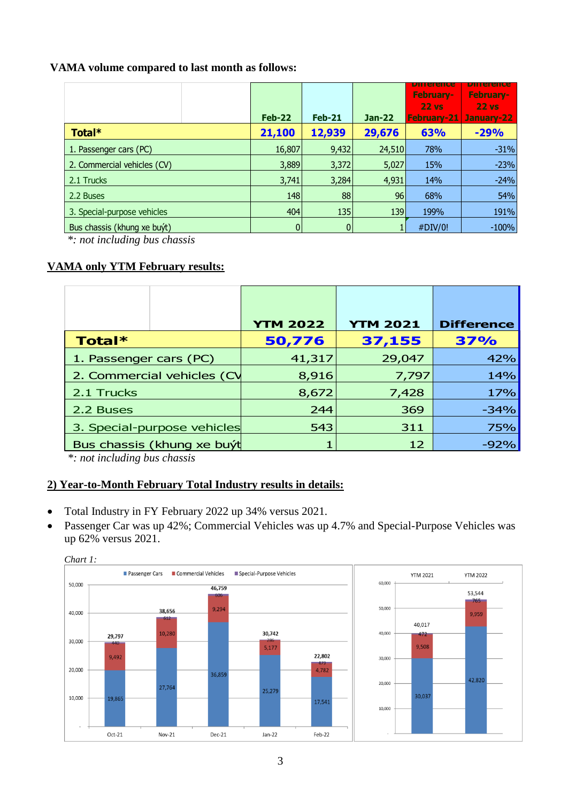### **VAMA volume compared to last month as follows:**

|                             | $Feb-22$       | <b>Feb-21</b> | <b>Jan-22</b> | pinerance<br><b>February-</b><br>$22$ vs<br>February-21 January-22 | pinerence<br>February-<br>22 <sub>vs</sub> |
|-----------------------------|----------------|---------------|---------------|--------------------------------------------------------------------|--------------------------------------------|
| Total*                      | 21,100         | 12,939        | 29,676        | 63%                                                                | $-29%$                                     |
| 1. Passenger cars (PC)      | 16,807         | 9,432         | 24,510        | 78%                                                                | $-31%$                                     |
| 2. Commercial vehicles (CV) | 3,889          | 3,372         | 5,027         | 15%                                                                | $-23%$                                     |
| 2.1 Trucks                  | 3,741          | 3,284         | 4,931         | 14%                                                                | $-24%$                                     |
| 2.2 Buses                   | 148            | 88            | 96            | 68%                                                                | 54%                                        |
| 3. Special-purpose vehicles | 404            | 135           | 139           | 199%                                                               | 191%                                       |
| Bus chassis (khung xe buýt) | $\overline{0}$ |               |               | #DIV/0!                                                            | $-100%$                                    |

*\*: not including bus chassis*

### **VAMA only YTM February results:**

|                             | <b>YTM 2022</b> | <b>YTM 2021</b> | <b>Difference</b> |
|-----------------------------|-----------------|-----------------|-------------------|
| Total*                      | 50,776          | 37,155          | 37%               |
| 1. Passenger cars (PC)      | 41,317          | 29,047          | 42%               |
| 2. Commercial vehicles (CV  | 8,916           | 7,797           | 14%               |
| 2.1 Trucks                  | 8,672           | 7,428           | 17%               |
| 2.2 Buses                   | 244             | 369             | $-34%$            |
| 3. Special-purpose vehicles | 543             | 311             | 75%               |
| Bus chassis (khung xe buýt  |                 | 12              | $-92%$            |

*\*: not including bus chassis*

### **2) Year-to-Month February Total Industry results in details:**

- Total Industry in FY February 2022 up 34% versus 2021.
- Passenger Car was up 42%; Commercial Vehicles was up 4.7% and Special-Purpose Vehicles was up 62% versus 2021.



#### *Chart 1:*